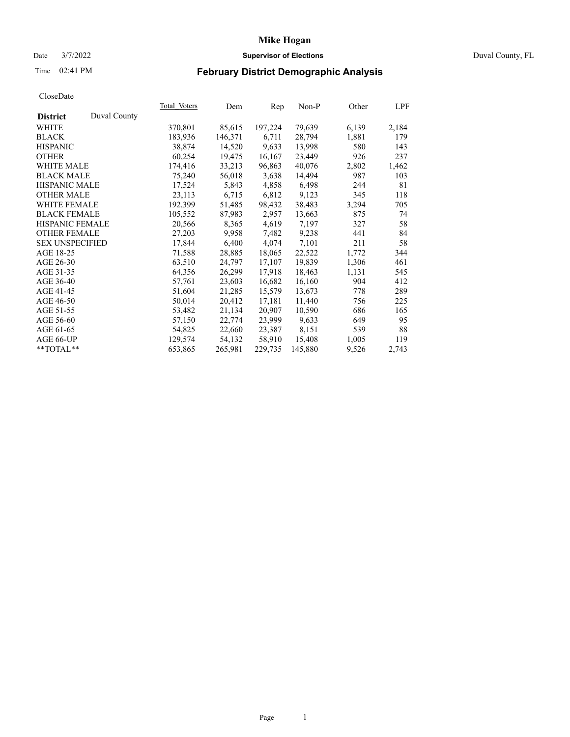### Date 3/7/2022 **Supervisor of Elections** Duval County, FL

# Time 02:41 PM **February District Demographic Analysis**

| Duval County<br><b>District</b><br>79,639<br>WHITE<br>370,801<br>85,615<br>197,224<br>6,139<br><b>BLACK</b><br>183,936<br>146,371<br>6,711<br>28,794<br>1,881<br>13,998<br><b>HISPANIC</b><br>38,874<br>14,520<br>9.633<br>580<br><b>OTHER</b><br>23,449<br>926<br>60,254<br>19,475<br>16,167<br><b>WHITE MALE</b><br>174,416<br>33,213<br>96,863<br>40,076<br>2,802<br>14,494<br><b>BLACK MALE</b><br>75,240<br>56,018<br>987<br>3,638<br><b>HISPANIC MALE</b><br>6,498<br>17,524<br>5,843<br>4,858<br>244<br>9,123<br><b>OTHER MALE</b><br>23,113<br>6,715<br>6,812<br>345<br>192,399<br>38,483<br>3,294<br><b>WHITE FEMALE</b><br>51,485<br>98,432<br><b>BLACK FEMALE</b><br>87,983<br>2,957<br>13,663<br>875<br>105,552<br>HISPANIC FEMALE<br>7,197<br>20,566<br>4,619<br>327<br>8,365<br><b>OTHER FEMALE</b><br>27,203<br>9,958<br>7,482<br>9,238<br>441<br>17,844<br>6,400<br>7,101<br><b>SEX UNSPECIFIED</b><br>4,074<br>211<br>AGE 18-25<br>71,588<br>28,885<br>22,522<br>18,065<br>1,772<br>19,839<br>AGE 26-30<br>17,107<br>1,306<br>63,510<br>24,797<br>AGE 31-35<br>64,356<br>26,299<br>17,918<br>18,463<br>1,131<br>AGE 36-40<br>57,761<br>23,603<br>16,682<br>16,160<br>904<br>AGE 41-45<br>51,604<br>15,579<br>13,673<br>778<br>21,285<br>AGE 46-50<br>50,014<br>20,412<br>11,440<br>17,181<br>756<br>AGE 51-55<br>53,482<br>21,134<br>20,907<br>10,590<br>686<br>23,999<br>9,633<br>AGE 56-60<br>57,150<br>649<br>22,774<br>8,151<br>AGE 61-65<br>54,825<br>22,660<br>23,387<br>539<br>15,408<br>AGE 66-UP<br>129,574<br>54,132<br>58,910<br>1,005<br>**TOTAL**<br>653,865<br>229,735<br>145,880<br>265,981<br>9,526 |  | <b>Total Voters</b> | Dem | Rep | $Non-P$ | Other | LPF   |
|--------------------------------------------------------------------------------------------------------------------------------------------------------------------------------------------------------------------------------------------------------------------------------------------------------------------------------------------------------------------------------------------------------------------------------------------------------------------------------------------------------------------------------------------------------------------------------------------------------------------------------------------------------------------------------------------------------------------------------------------------------------------------------------------------------------------------------------------------------------------------------------------------------------------------------------------------------------------------------------------------------------------------------------------------------------------------------------------------------------------------------------------------------------------------------------------------------------------------------------------------------------------------------------------------------------------------------------------------------------------------------------------------------------------------------------------------------------------------------------------------------------------------------------------------------------------------------------------------------------------------------------|--|---------------------|-----|-----|---------|-------|-------|
|                                                                                                                                                                                                                                                                                                                                                                                                                                                                                                                                                                                                                                                                                                                                                                                                                                                                                                                                                                                                                                                                                                                                                                                                                                                                                                                                                                                                                                                                                                                                                                                                                                      |  |                     |     |     |         |       |       |
|                                                                                                                                                                                                                                                                                                                                                                                                                                                                                                                                                                                                                                                                                                                                                                                                                                                                                                                                                                                                                                                                                                                                                                                                                                                                                                                                                                                                                                                                                                                                                                                                                                      |  |                     |     |     |         |       | 2,184 |
|                                                                                                                                                                                                                                                                                                                                                                                                                                                                                                                                                                                                                                                                                                                                                                                                                                                                                                                                                                                                                                                                                                                                                                                                                                                                                                                                                                                                                                                                                                                                                                                                                                      |  |                     |     |     |         |       | 179   |
|                                                                                                                                                                                                                                                                                                                                                                                                                                                                                                                                                                                                                                                                                                                                                                                                                                                                                                                                                                                                                                                                                                                                                                                                                                                                                                                                                                                                                                                                                                                                                                                                                                      |  |                     |     |     |         |       | 143   |
|                                                                                                                                                                                                                                                                                                                                                                                                                                                                                                                                                                                                                                                                                                                                                                                                                                                                                                                                                                                                                                                                                                                                                                                                                                                                                                                                                                                                                                                                                                                                                                                                                                      |  |                     |     |     |         |       | 237   |
|                                                                                                                                                                                                                                                                                                                                                                                                                                                                                                                                                                                                                                                                                                                                                                                                                                                                                                                                                                                                                                                                                                                                                                                                                                                                                                                                                                                                                                                                                                                                                                                                                                      |  |                     |     |     |         |       | 1,462 |
|                                                                                                                                                                                                                                                                                                                                                                                                                                                                                                                                                                                                                                                                                                                                                                                                                                                                                                                                                                                                                                                                                                                                                                                                                                                                                                                                                                                                                                                                                                                                                                                                                                      |  |                     |     |     |         |       | 103   |
|                                                                                                                                                                                                                                                                                                                                                                                                                                                                                                                                                                                                                                                                                                                                                                                                                                                                                                                                                                                                                                                                                                                                                                                                                                                                                                                                                                                                                                                                                                                                                                                                                                      |  |                     |     |     |         |       | 81    |
|                                                                                                                                                                                                                                                                                                                                                                                                                                                                                                                                                                                                                                                                                                                                                                                                                                                                                                                                                                                                                                                                                                                                                                                                                                                                                                                                                                                                                                                                                                                                                                                                                                      |  |                     |     |     |         |       | 118   |
|                                                                                                                                                                                                                                                                                                                                                                                                                                                                                                                                                                                                                                                                                                                                                                                                                                                                                                                                                                                                                                                                                                                                                                                                                                                                                                                                                                                                                                                                                                                                                                                                                                      |  |                     |     |     |         |       | 705   |
|                                                                                                                                                                                                                                                                                                                                                                                                                                                                                                                                                                                                                                                                                                                                                                                                                                                                                                                                                                                                                                                                                                                                                                                                                                                                                                                                                                                                                                                                                                                                                                                                                                      |  |                     |     |     |         |       | 74    |
|                                                                                                                                                                                                                                                                                                                                                                                                                                                                                                                                                                                                                                                                                                                                                                                                                                                                                                                                                                                                                                                                                                                                                                                                                                                                                                                                                                                                                                                                                                                                                                                                                                      |  |                     |     |     |         |       | 58    |
|                                                                                                                                                                                                                                                                                                                                                                                                                                                                                                                                                                                                                                                                                                                                                                                                                                                                                                                                                                                                                                                                                                                                                                                                                                                                                                                                                                                                                                                                                                                                                                                                                                      |  |                     |     |     |         |       | 84    |
|                                                                                                                                                                                                                                                                                                                                                                                                                                                                                                                                                                                                                                                                                                                                                                                                                                                                                                                                                                                                                                                                                                                                                                                                                                                                                                                                                                                                                                                                                                                                                                                                                                      |  |                     |     |     |         |       | 58    |
|                                                                                                                                                                                                                                                                                                                                                                                                                                                                                                                                                                                                                                                                                                                                                                                                                                                                                                                                                                                                                                                                                                                                                                                                                                                                                                                                                                                                                                                                                                                                                                                                                                      |  |                     |     |     |         |       | 344   |
|                                                                                                                                                                                                                                                                                                                                                                                                                                                                                                                                                                                                                                                                                                                                                                                                                                                                                                                                                                                                                                                                                                                                                                                                                                                                                                                                                                                                                                                                                                                                                                                                                                      |  |                     |     |     |         |       | 461   |
|                                                                                                                                                                                                                                                                                                                                                                                                                                                                                                                                                                                                                                                                                                                                                                                                                                                                                                                                                                                                                                                                                                                                                                                                                                                                                                                                                                                                                                                                                                                                                                                                                                      |  |                     |     |     |         |       | 545   |
|                                                                                                                                                                                                                                                                                                                                                                                                                                                                                                                                                                                                                                                                                                                                                                                                                                                                                                                                                                                                                                                                                                                                                                                                                                                                                                                                                                                                                                                                                                                                                                                                                                      |  |                     |     |     |         |       | 412   |
|                                                                                                                                                                                                                                                                                                                                                                                                                                                                                                                                                                                                                                                                                                                                                                                                                                                                                                                                                                                                                                                                                                                                                                                                                                                                                                                                                                                                                                                                                                                                                                                                                                      |  |                     |     |     |         |       | 289   |
|                                                                                                                                                                                                                                                                                                                                                                                                                                                                                                                                                                                                                                                                                                                                                                                                                                                                                                                                                                                                                                                                                                                                                                                                                                                                                                                                                                                                                                                                                                                                                                                                                                      |  |                     |     |     |         |       | 225   |
|                                                                                                                                                                                                                                                                                                                                                                                                                                                                                                                                                                                                                                                                                                                                                                                                                                                                                                                                                                                                                                                                                                                                                                                                                                                                                                                                                                                                                                                                                                                                                                                                                                      |  |                     |     |     |         |       | 165   |
|                                                                                                                                                                                                                                                                                                                                                                                                                                                                                                                                                                                                                                                                                                                                                                                                                                                                                                                                                                                                                                                                                                                                                                                                                                                                                                                                                                                                                                                                                                                                                                                                                                      |  |                     |     |     |         |       | 95    |
|                                                                                                                                                                                                                                                                                                                                                                                                                                                                                                                                                                                                                                                                                                                                                                                                                                                                                                                                                                                                                                                                                                                                                                                                                                                                                                                                                                                                                                                                                                                                                                                                                                      |  |                     |     |     |         |       | 88    |
|                                                                                                                                                                                                                                                                                                                                                                                                                                                                                                                                                                                                                                                                                                                                                                                                                                                                                                                                                                                                                                                                                                                                                                                                                                                                                                                                                                                                                                                                                                                                                                                                                                      |  |                     |     |     |         |       | 119   |
|                                                                                                                                                                                                                                                                                                                                                                                                                                                                                                                                                                                                                                                                                                                                                                                                                                                                                                                                                                                                                                                                                                                                                                                                                                                                                                                                                                                                                                                                                                                                                                                                                                      |  |                     |     |     |         |       | 2,743 |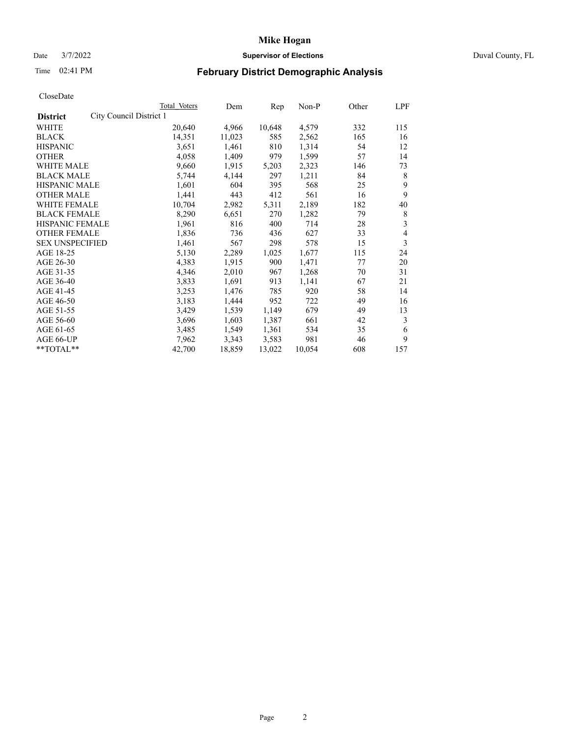# Date 3/7/2022 **Supervisor of Elections** Duval County, FL

# Time 02:41 PM **February District Demographic Analysis**

|                                            | Total Voters | Dem    | Rep    | Non-P  | Other | LPF |
|--------------------------------------------|--------------|--------|--------|--------|-------|-----|
| City Council District 1<br><b>District</b> |              |        |        |        |       |     |
| WHITE                                      | 20,640       | 4,966  | 10,648 | 4,579  | 332   | 115 |
| <b>BLACK</b>                               | 14,351       | 11,023 | 585    | 2,562  | 165   | 16  |
| <b>HISPANIC</b>                            | 3,651        | 1,461  | 810    | 1,314  | 54    | 12  |
| <b>OTHER</b>                               | 4,058        | 1,409  | 979    | 1,599  | 57    | 14  |
| <b>WHITE MALE</b>                          | 9,660        | 1,915  | 5,203  | 2,323  | 146   | 73  |
| <b>BLACK MALE</b>                          | 5,744        | 4,144  | 297    | 1,211  | 84    | 8   |
| <b>HISPANIC MALE</b>                       | 1,601        | 604    | 395    | 568    | 25    | 9   |
| <b>OTHER MALE</b>                          | 1,441        | 443    | 412    | 561    | 16    | 9   |
| WHITE FEMALE                               | 10,704       | 2,982  | 5,311  | 2,189  | 182   | 40  |
| <b>BLACK FEMALE</b>                        | 8,290        | 6,651  | 270    | 1,282  | 79    | 8   |
| HISPANIC FEMALE                            | 1,961        | 816    | 400    | 714    | 28    | 3   |
| <b>OTHER FEMALE</b>                        | 1,836        | 736    | 436    | 627    | 33    | 4   |
| <b>SEX UNSPECIFIED</b>                     | 1,461        | 567    | 298    | 578    | 15    | 3   |
| AGE 18-25                                  | 5,130        | 2,289  | 1,025  | 1,677  | 115   | 24  |
| AGE 26-30                                  | 4,383        | 1,915  | 900    | 1,471  | 77    | 20  |
| AGE 31-35                                  | 4,346        | 2,010  | 967    | 1,268  | 70    | 31  |
| AGE 36-40                                  | 3,833        | 1,691  | 913    | 1,141  | 67    | 21  |
| AGE 41-45                                  | 3,253        | 1,476  | 785    | 920    | 58    | 14  |
| AGE 46-50                                  | 3,183        | 1,444  | 952    | 722    | 49    | 16  |
| AGE 51-55                                  | 3,429        | 1,539  | 1,149  | 679    | 49    | 13  |
| AGE 56-60                                  | 3,696        | 1,603  | 1,387  | 661    | 42    | 3   |
| AGE 61-65                                  | 3,485        | 1,549  | 1,361  | 534    | 35    | 6   |
| AGE 66-UP                                  | 7,962        | 3,343  | 3,583  | 981    | 46    | 9   |
| **TOTAL**                                  | 42,700       | 18,859 | 13,022 | 10,054 | 608   | 157 |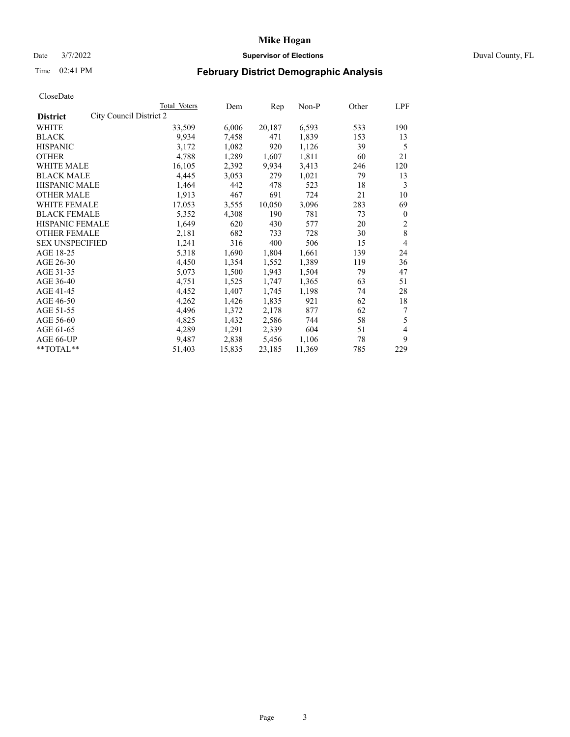# Date 3/7/2022 **Supervisor of Elections** Duval County, FL

# Time 02:41 PM **February District Demographic Analysis**

|                                            | Total Voters | Dem    | Rep    | Non-P  | Other | LPF            |
|--------------------------------------------|--------------|--------|--------|--------|-------|----------------|
| City Council District 2<br><b>District</b> |              |        |        |        |       |                |
| WHITE                                      | 33,509       | 6,006  | 20,187 | 6,593  | 533   | 190            |
| <b>BLACK</b>                               | 9,934        | 7,458  | 471    | 1,839  | 153   | 13             |
| <b>HISPANIC</b>                            | 3,172        | 1,082  | 920    | 1,126  | 39    | 5              |
| <b>OTHER</b>                               | 4,788        | 1,289  | 1,607  | 1,811  | 60    | 21             |
| <b>WHITE MALE</b>                          | 16,105       | 2,392  | 9,934  | 3,413  | 246   | 120            |
| <b>BLACK MALE</b>                          | 4,445        | 3,053  | 279    | 1,021  | 79    | 13             |
| <b>HISPANIC MALE</b>                       | 1,464        | 442    | 478    | 523    | 18    | 3              |
| <b>OTHER MALE</b>                          | 1,913        | 467    | 691    | 724    | 21    | 10             |
| WHITE FEMALE                               | 17,053       | 3,555  | 10,050 | 3,096  | 283   | 69             |
| <b>BLACK FEMALE</b>                        | 5,352        | 4,308  | 190    | 781    | 73    | $\mathbf{0}$   |
| HISPANIC FEMALE                            | 1,649        | 620    | 430    | 577    | 20    | $\overline{c}$ |
| <b>OTHER FEMALE</b>                        | 2,181        | 682    | 733    | 728    | 30    | 8              |
| <b>SEX UNSPECIFIED</b>                     | 1,241        | 316    | 400    | 506    | 15    | 4              |
| AGE 18-25                                  | 5,318        | 1,690  | 1,804  | 1,661  | 139   | 24             |
| AGE 26-30                                  | 4,450        | 1,354  | 1,552  | 1,389  | 119   | 36             |
| AGE 31-35                                  | 5,073        | 1,500  | 1,943  | 1,504  | 79    | 47             |
| AGE 36-40                                  | 4,751        | 1,525  | 1,747  | 1,365  | 63    | 51             |
| AGE 41-45                                  | 4,452        | 1,407  | 1,745  | 1,198  | 74    | 28             |
| AGE 46-50                                  | 4,262        | 1,426  | 1,835  | 921    | 62    | 18             |
| AGE 51-55                                  | 4,496        | 1,372  | 2,178  | 877    | 62    | 7              |
| AGE 56-60                                  | 4,825        | 1,432  | 2,586  | 744    | 58    | 5              |
| AGE 61-65                                  | 4,289        | 1,291  | 2,339  | 604    | 51    | 4              |
| AGE 66-UP                                  | 9,487        | 2,838  | 5,456  | 1,106  | 78    | 9              |
| **TOTAL**                                  | 51,403       | 15,835 | 23,185 | 11,369 | 785   | 229            |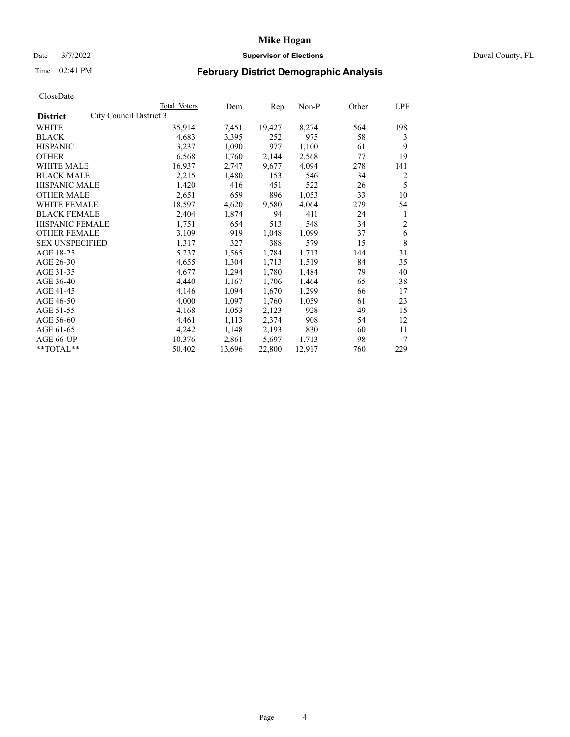# Date 3/7/2022 **Supervisor of Elections** Duval County, FL

# Time 02:41 PM **February District Demographic Analysis**

|                        |                         | Total Voters | Dem    | Rep    | Non-P  | Other | LPF            |
|------------------------|-------------------------|--------------|--------|--------|--------|-------|----------------|
| <b>District</b>        | City Council District 3 |              |        |        |        |       |                |
| WHITE                  |                         | 35,914       | 7,451  | 19,427 | 8,274  | 564   | 198            |
| <b>BLACK</b>           |                         | 4,683        | 3,395  | 252    | 975    | 58    | 3              |
| <b>HISPANIC</b>        |                         | 3,237        | 1,090  | 977    | 1,100  | 61    | 9              |
| <b>OTHER</b>           |                         | 6,568        | 1,760  | 2,144  | 2,568  | 77    | 19             |
| <b>WHITE MALE</b>      |                         | 16,937       | 2,747  | 9,677  | 4,094  | 278   | 141            |
| <b>BLACK MALE</b>      |                         | 2,215        | 1,480  | 153    | 546    | 34    | 2              |
| <b>HISPANIC MALE</b>   |                         | 1,420        | 416    | 451    | 522    | 26    | 5              |
| <b>OTHER MALE</b>      |                         | 2,651        | 659    | 896    | 1,053  | 33    | 10             |
| WHITE FEMALE           |                         | 18,597       | 4,620  | 9,580  | 4,064  | 279   | 54             |
| <b>BLACK FEMALE</b>    |                         | 2,404        | 1,874  | 94     | 411    | 24    | 1              |
| HISPANIC FEMALE        |                         | 1,751        | 654    | 513    | 548    | 34    | $\overline{2}$ |
| <b>OTHER FEMALE</b>    |                         | 3,109        | 919    | 1,048  | 1,099  | 37    | 6              |
| <b>SEX UNSPECIFIED</b> |                         | 1,317        | 327    | 388    | 579    | 15    | 8              |
| AGE 18-25              |                         | 5,237        | 1,565  | 1,784  | 1,713  | 144   | 31             |
| AGE 26-30              |                         | 4,655        | 1,304  | 1,713  | 1,519  | 84    | 35             |
| AGE 31-35              |                         | 4,677        | 1,294  | 1,780  | 1,484  | 79    | 40             |
| AGE 36-40              |                         | 4,440        | 1,167  | 1,706  | 1,464  | 65    | 38             |
| AGE 41-45              |                         | 4,146        | 1,094  | 1,670  | 1,299  | 66    | 17             |
| AGE 46-50              |                         | 4,000        | 1,097  | 1,760  | 1,059  | 61    | 23             |
| AGE 51-55              |                         | 4,168        | 1,053  | 2,123  | 928    | 49    | 15             |
| AGE 56-60              |                         | 4,461        | 1,113  | 2,374  | 908    | 54    | 12             |
| AGE 61-65              |                         | 4,242        | 1,148  | 2,193  | 830    | 60    | 11             |
| AGE 66-UP              |                         | 10,376       | 2,861  | 5,697  | 1,713  | 98    | 7              |
| **TOTAL**              |                         | 50,402       | 13,696 | 22,800 | 12,917 | 760   | 229            |
|                        |                         |              |        |        |        |       |                |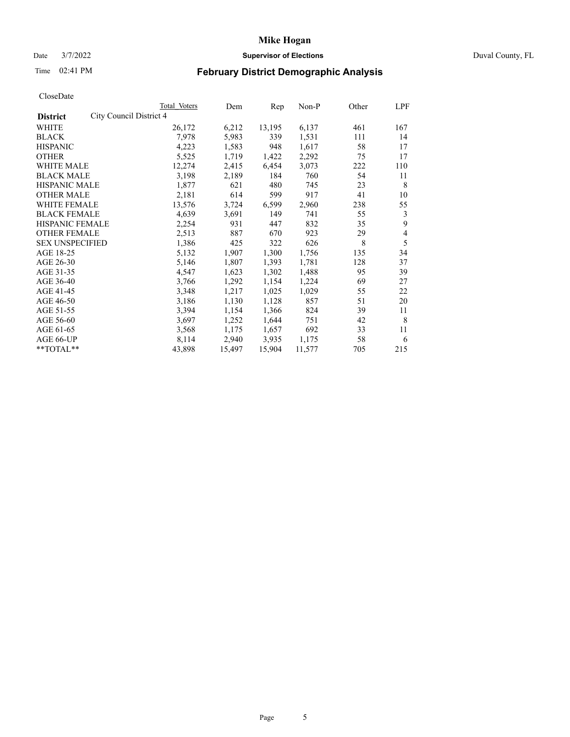# Date 3/7/2022 **Supervisor of Elections** Duval County, FL

# Time 02:41 PM **February District Demographic Analysis**

|                                            | Total Voters | Dem    | Rep    | Non-P  | Other | LPF |
|--------------------------------------------|--------------|--------|--------|--------|-------|-----|
| City Council District 4<br><b>District</b> |              |        |        |        |       |     |
| WHITE                                      | 26,172       | 6,212  | 13,195 | 6,137  | 461   | 167 |
| <b>BLACK</b>                               | 7,978        | 5,983  | 339    | 1,531  | 111   | 14  |
| <b>HISPANIC</b>                            | 4,223        | 1,583  | 948    | 1,617  | 58    | 17  |
| <b>OTHER</b>                               | 5,525        | 1,719  | 1,422  | 2,292  | 75    | 17  |
| <b>WHITE MALE</b>                          | 12,274       | 2,415  | 6,454  | 3,073  | 222   | 110 |
| <b>BLACK MALE</b>                          | 3,198        | 2,189  | 184    | 760    | 54    | 11  |
| <b>HISPANIC MALE</b>                       | 1,877        | 621    | 480    | 745    | 23    | 8   |
| <b>OTHER MALE</b>                          | 2,181        | 614    | 599    | 917    | 41    | 10  |
| WHITE FEMALE                               | 13,576       | 3,724  | 6,599  | 2,960  | 238   | 55  |
| <b>BLACK FEMALE</b>                        | 4,639        | 3,691  | 149    | 741    | 55    | 3   |
| <b>HISPANIC FEMALE</b>                     | 2,254        | 931    | 447    | 832    | 35    | 9   |
| <b>OTHER FEMALE</b>                        | 2,513        | 887    | 670    | 923    | 29    | 4   |
| <b>SEX UNSPECIFIED</b>                     | 1,386        | 425    | 322    | 626    | 8     | 5   |
| AGE 18-25                                  | 5,132        | 1,907  | 1,300  | 1,756  | 135   | 34  |
| AGE 26-30                                  | 5,146        | 1,807  | 1,393  | 1,781  | 128   | 37  |
| AGE 31-35                                  | 4,547        | 1,623  | 1,302  | 1,488  | 95    | 39  |
| AGE 36-40                                  | 3,766        | 1,292  | 1,154  | 1,224  | 69    | 27  |
| AGE 41-45                                  | 3,348        | 1,217  | 1,025  | 1,029  | 55    | 22  |
| AGE 46-50                                  | 3,186        | 1,130  | 1,128  | 857    | 51    | 20  |
| AGE 51-55                                  | 3,394        | 1,154  | 1,366  | 824    | 39    | 11  |
| AGE 56-60                                  | 3,697        | 1,252  | 1,644  | 751    | 42    | 8   |
| AGE 61-65                                  | 3,568        | 1,175  | 1,657  | 692    | 33    | 11  |
| AGE 66-UP                                  | 8,114        | 2,940  | 3,935  | 1,175  | 58    | 6   |
| $**TOTAL**$                                | 43,898       | 15,497 | 15,904 | 11,577 | 705   | 215 |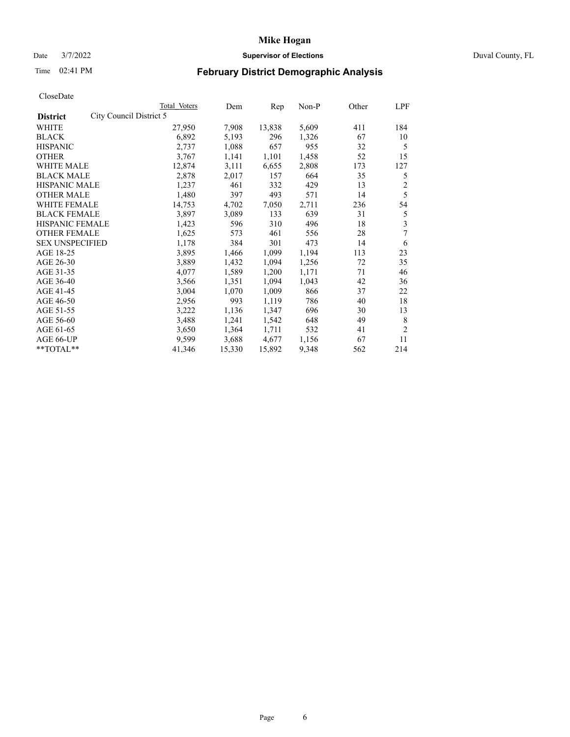# Date 3/7/2022 **Supervisor of Elections** Duval County, FL

# Time 02:41 PM **February District Demographic Analysis**

|                        |                         | Total Voters | Dem    | Rep    | Non-P | Other | LPF            |
|------------------------|-------------------------|--------------|--------|--------|-------|-------|----------------|
| <b>District</b>        | City Council District 5 |              |        |        |       |       |                |
| WHITE                  |                         | 27,950       | 7,908  | 13,838 | 5,609 | 411   | 184            |
| <b>BLACK</b>           |                         | 6,892        | 5,193  | 296    | 1,326 | 67    | 10             |
| <b>HISPANIC</b>        |                         | 2,737        | 1,088  | 657    | 955   | 32    | 5              |
| <b>OTHER</b>           |                         | 3,767        | 1,141  | 1,101  | 1,458 | 52    | 15             |
| <b>WHITE MALE</b>      |                         | 12,874       | 3,111  | 6,655  | 2,808 | 173   | 127            |
| <b>BLACK MALE</b>      |                         | 2,878        | 2,017  | 157    | 664   | 35    | 5              |
| <b>HISPANIC MALE</b>   |                         | 1,237        | 461    | 332    | 429   | 13    | $\overline{c}$ |
| <b>OTHER MALE</b>      |                         | 1,480        | 397    | 493    | 571   | 14    | 5              |
| WHITE FEMALE           |                         | 14,753       | 4,702  | 7,050  | 2,711 | 236   | 54             |
| <b>BLACK FEMALE</b>    |                         | 3,897        | 3,089  | 133    | 639   | 31    | 5              |
| HISPANIC FEMALE        |                         | 1,423        | 596    | 310    | 496   | 18    | 3              |
| <b>OTHER FEMALE</b>    |                         | 1,625        | 573    | 461    | 556   | 28    | 7              |
| <b>SEX UNSPECIFIED</b> |                         | 1,178        | 384    | 301    | 473   | 14    | 6              |
| AGE 18-25              |                         | 3,895        | 1,466  | 1,099  | 1,194 | 113   | 23             |
| AGE 26-30              |                         | 3,889        | 1,432  | 1,094  | 1,256 | 72    | 35             |
| AGE 31-35              |                         | 4,077        | 1,589  | 1,200  | 1,171 | 71    | 46             |
| AGE 36-40              |                         | 3,566        | 1,351  | 1,094  | 1,043 | 42    | 36             |
| AGE 41-45              |                         | 3,004        | 1,070  | 1,009  | 866   | 37    | 22             |
| AGE 46-50              |                         | 2,956        | 993    | 1,119  | 786   | 40    | 18             |
| AGE 51-55              |                         | 3,222        | 1,136  | 1,347  | 696   | 30    | 13             |
| AGE 56-60              |                         | 3,488        | 1,241  | 1,542  | 648   | 49    | 8              |
| AGE 61-65              |                         | 3,650        | 1,364  | 1,711  | 532   | 41    | $\overline{2}$ |
| AGE 66-UP              |                         | 9,599        | 3,688  | 4,677  | 1,156 | 67    | 11             |
| **TOTAL**              |                         | 41,346       | 15,330 | 15,892 | 9,348 | 562   | 214            |
|                        |                         |              |        |        |       |       |                |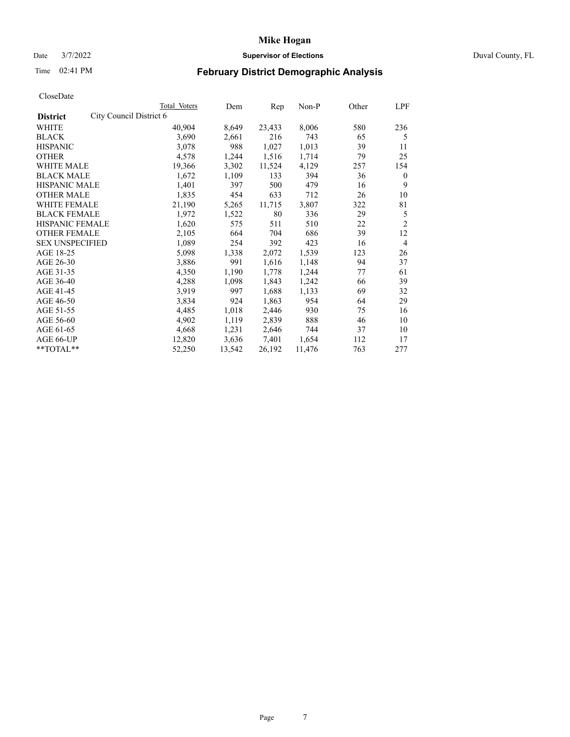# Date 3/7/2022 **Supervisor of Elections** Duval County, FL

# Time 02:41 PM **February District Demographic Analysis**

|                        |                         | Total Voters | Dem    | Rep    | Non-P  | Other | LPF            |
|------------------------|-------------------------|--------------|--------|--------|--------|-------|----------------|
| <b>District</b>        | City Council District 6 |              |        |        |        |       |                |
| WHITE                  |                         | 40,904       | 8,649  | 23,433 | 8,006  | 580   | 236            |
| <b>BLACK</b>           |                         | 3,690        | 2,661  | 216    | 743    | 65    | 5              |
| <b>HISPANIC</b>        |                         | 3,078        | 988    | 1,027  | 1,013  | 39    | 11             |
| <b>OTHER</b>           |                         | 4,578        | 1,244  | 1,516  | 1,714  | 79    | 25             |
| <b>WHITE MALE</b>      |                         | 19,366       | 3,302  | 11,524 | 4,129  | 257   | 154            |
| <b>BLACK MALE</b>      |                         | 1,672        | 1,109  | 133    | 394    | 36    | $\mathbf{0}$   |
| <b>HISPANIC MALE</b>   |                         | 1,401        | 397    | 500    | 479    | 16    | 9              |
| <b>OTHER MALE</b>      |                         | 1,835        | 454    | 633    | 712    | 26    | 10             |
| WHITE FEMALE           |                         | 21,190       | 5,265  | 11,715 | 3,807  | 322   | 81             |
| <b>BLACK FEMALE</b>    |                         | 1,972        | 1,522  | 80     | 336    | 29    | 5              |
| HISPANIC FEMALE        |                         | 1,620        | 575    | 511    | 510    | 22    | $\overline{2}$ |
| <b>OTHER FEMALE</b>    |                         | 2,105        | 664    | 704    | 686    | 39    | 12             |
| <b>SEX UNSPECIFIED</b> |                         | 1,089        | 254    | 392    | 423    | 16    | $\overline{4}$ |
| AGE 18-25              |                         | 5,098        | 1,338  | 2,072  | 1,539  | 123   | 26             |
| AGE 26-30              |                         | 3,886        | 991    | 1,616  | 1,148  | 94    | 37             |
| AGE 31-35              |                         | 4,350        | 1,190  | 1,778  | 1,244  | 77    | 61             |
| AGE 36-40              |                         | 4,288        | 1,098  | 1,843  | 1,242  | 66    | 39             |
| AGE 41-45              |                         | 3,919        | 997    | 1,688  | 1,133  | 69    | 32             |
| AGE 46-50              |                         | 3,834        | 924    | 1,863  | 954    | 64    | 29             |
| AGE 51-55              |                         | 4,485        | 1,018  | 2,446  | 930    | 75    | 16             |
| AGE 56-60              |                         | 4,902        | 1,119  | 2,839  | 888    | 46    | 10             |
| AGE 61-65              |                         | 4,668        | 1,231  | 2,646  | 744    | 37    | 10             |
| AGE 66-UP              |                         | 12,820       | 3,636  | 7,401  | 1,654  | 112   | 17             |
| **TOTAL**              |                         | 52,250       | 13,542 | 26,192 | 11,476 | 763   | 277            |
|                        |                         |              |        |        |        |       |                |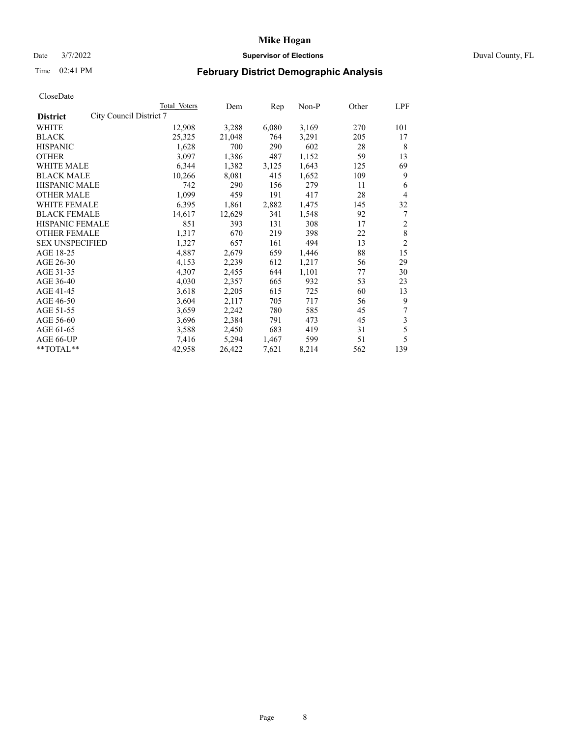# Date 3/7/2022 **Supervisor of Elections** Duval County, FL

# Time 02:41 PM **February District Demographic Analysis**

|                                            | Total Voters | Dem    | Rep   | $Non-P$ | Other | LPF            |
|--------------------------------------------|--------------|--------|-------|---------|-------|----------------|
| City Council District 7<br><b>District</b> |              |        |       |         |       |                |
| WHITE                                      | 12,908       | 3,288  | 6,080 | 3,169   | 270   | 101            |
| <b>BLACK</b>                               | 25,325       | 21,048 | 764   | 3,291   | 205   | 17             |
| <b>HISPANIC</b>                            | 1,628        | 700    | 290   | 602     | 28    | 8              |
| <b>OTHER</b>                               | 3,097        | 1,386  | 487   | 1,152   | 59    | 13             |
| <b>WHITE MALE</b>                          | 6,344        | 1,382  | 3,125 | 1,643   | 125   | 69             |
| <b>BLACK MALE</b>                          | 10,266       | 8,081  | 415   | 1,652   | 109   | 9              |
| <b>HISPANIC MALE</b>                       | 742          | 290    | 156   | 279     | 11    | 6              |
| <b>OTHER MALE</b>                          | 1,099        | 459    | 191   | 417     | 28    | 4              |
| WHITE FEMALE                               | 6,395        | 1,861  | 2,882 | 1,475   | 145   | 32             |
| <b>BLACK FEMALE</b>                        | 14,617       | 12,629 | 341   | 1,548   | 92    | 7              |
| HISPANIC FEMALE                            | 851          | 393    | 131   | 308     | 17    | $\overline{c}$ |
| <b>OTHER FEMALE</b>                        | 1,317        | 670    | 219   | 398     | 22    | 8              |
| <b>SEX UNSPECIFIED</b>                     | 1,327        | 657    | 161   | 494     | 13    | $\overline{2}$ |
| AGE 18-25                                  | 4,887        | 2,679  | 659   | 1,446   | 88    | 15             |
| AGE 26-30                                  | 4,153        | 2,239  | 612   | 1,217   | 56    | 29             |
| AGE 31-35                                  | 4,307        | 2,455  | 644   | 1,101   | 77    | 30             |
| AGE 36-40                                  | 4,030        | 2,357  | 665   | 932     | 53    | 23             |
| AGE 41-45                                  | 3,618        | 2,205  | 615   | 725     | 60    | 13             |
| AGE 46-50                                  | 3,604        | 2,117  | 705   | 717     | 56    | 9              |
| AGE 51-55                                  | 3,659        | 2,242  | 780   | 585     | 45    |                |
| AGE 56-60                                  | 3,696        | 2,384  | 791   | 473     | 45    | 3              |
| AGE 61-65                                  | 3,588        | 2,450  | 683   | 419     | 31    | 5              |
| AGE 66-UP                                  | 7,416        | 5,294  | 1,467 | 599     | 51    | 5              |
| $*$ $TOTAL**$                              | 42,958       | 26,422 | 7,621 | 8,214   | 562   | 139            |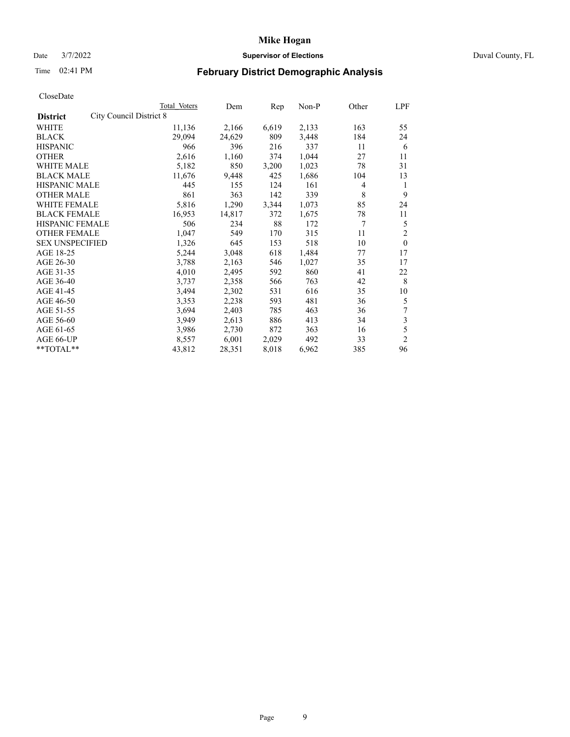# Date 3/7/2022 **Supervisor of Elections** Duval County, FL

# Time 02:41 PM **February District Demographic Analysis**

|                        | Total Voters | Dem                     | Rep   | $Non-P$ | Other | LPF            |
|------------------------|--------------|-------------------------|-------|---------|-------|----------------|
|                        |              |                         |       |         |       |                |
|                        | 11,136       | 2,166                   | 6,619 | 2,133   | 163   | 55             |
|                        | 29,094       | 24,629                  | 809   | 3,448   | 184   | 24             |
|                        | 966          | 396                     | 216   | 337     | 11    | 6              |
|                        | 2,616        | 1,160                   | 374   | 1,044   | 27    | 11             |
|                        | 5,182        | 850                     | 3,200 | 1,023   | 78    | 31             |
| <b>BLACK MALE</b>      | 11,676       | 9,448                   | 425   | 1,686   | 104   | 13             |
| <b>HISPANIC MALE</b>   | 445          | 155                     | 124   | 161     | 4     | 1              |
| <b>OTHER MALE</b>      | 861          | 363                     | 142   | 339     | 8     | 9              |
| WHITE FEMALE           | 5,816        | 1,290                   | 3,344 | 1,073   | 85    | 24             |
| <b>BLACK FEMALE</b>    | 16,953       | 14,817                  | 372   | 1,675   | 78    | 11             |
| <b>HISPANIC FEMALE</b> | 506          | 234                     | 88    | 172     | 7     | 5              |
| <b>OTHER FEMALE</b>    | 1,047        | 549                     | 170   | 315     | 11    | 2              |
| <b>SEX UNSPECIFIED</b> | 1,326        | 645                     | 153   | 518     | 10    | $\mathbf{0}$   |
|                        | 5,244        | 3,048                   | 618   | 1,484   | 77    | 17             |
|                        | 3,788        | 2,163                   | 546   | 1,027   | 35    | 17             |
|                        | 4,010        | 2,495                   | 592   | 860     | 41    | 22             |
|                        | 3,737        | 2,358                   | 566   | 763     | 42    | 8              |
|                        | 3,494        | 2,302                   | 531   | 616     | 35    | 10             |
|                        | 3,353        | 2,238                   | 593   | 481     | 36    | 5              |
|                        | 3,694        | 2,403                   | 785   | 463     | 36    | 7              |
|                        | 3,949        | 2,613                   | 886   | 413     | 34    | 3              |
|                        | 3,986        | 2,730                   | 872   | 363     | 16    | 5              |
|                        | 8,557        | 6,001                   | 2,029 | 492     | 33    | $\overline{2}$ |
|                        | 43,812       | 28,351                  | 8,018 | 6,962   | 385   | 96             |
|                        |              | City Council District 8 |       |         |       |                |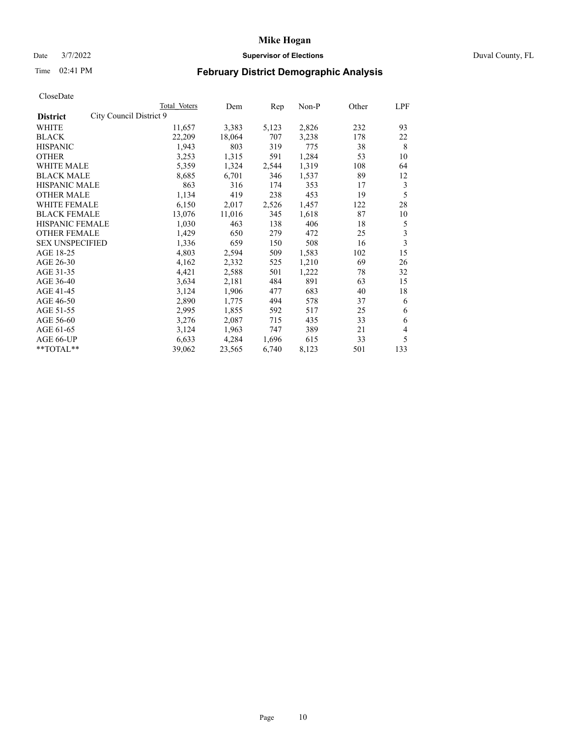# Date 3/7/2022 **Supervisor of Elections** Duval County, FL

# Time 02:41 PM **February District Demographic Analysis**

| Total Voters            | Dem    | Rep   | Non-P | Other | LPF |
|-------------------------|--------|-------|-------|-------|-----|
| City Council District 9 |        |       |       |       |     |
| 11,657                  | 3,383  | 5,123 | 2,826 | 232   | 93  |
| 22,209                  | 18,064 | 707   | 3,238 | 178   | 22  |
| 1,943                   | 803    | 319   | 775   | 38    | 8   |
| 3,253                   | 1,315  | 591   | 1,284 | 53    | 10  |
| 5,359                   | 1,324  | 2,544 | 1,319 | 108   | 64  |
| 8,685                   | 6,701  | 346   | 1,537 | 89    | 12  |
| 863                     | 316    | 174   | 353   | 17    | 3   |
| 1,134                   | 419    | 238   | 453   | 19    | 5   |
| 6,150                   | 2,017  | 2,526 | 1,457 | 122   | 28  |
| 13,076                  | 11,016 | 345   | 1,618 | 87    | 10  |
| 1,030                   | 463    | 138   | 406   | 18    | 5   |
| 1,429                   | 650    | 279   | 472   | 25    | 3   |
| 1,336                   | 659    | 150   | 508   | 16    | 3   |
| 4,803                   | 2,594  | 509   | 1,583 | 102   | 15  |
| 4,162                   | 2,332  | 525   | 1,210 | 69    | 26  |
| 4,421                   | 2,588  | 501   | 1,222 | 78    | 32  |
| 3,634                   | 2,181  | 484   | 891   | 63    | 15  |
| 3,124                   | 1,906  | 477   | 683   | 40    | 18  |
| 2,890                   | 1,775  | 494   | 578   | 37    | 6   |
| 2,995                   | 1,855  | 592   | 517   | 25    | 6   |
| 3,276                   | 2,087  | 715   | 435   | 33    | 6   |
| 3,124                   | 1,963  | 747   | 389   | 21    | 4   |
| 6,633                   | 4,284  | 1,696 | 615   | 33    | 5   |
| 39,062                  | 23,565 | 6,740 | 8,123 | 501   | 133 |
|                         |        |       |       |       |     |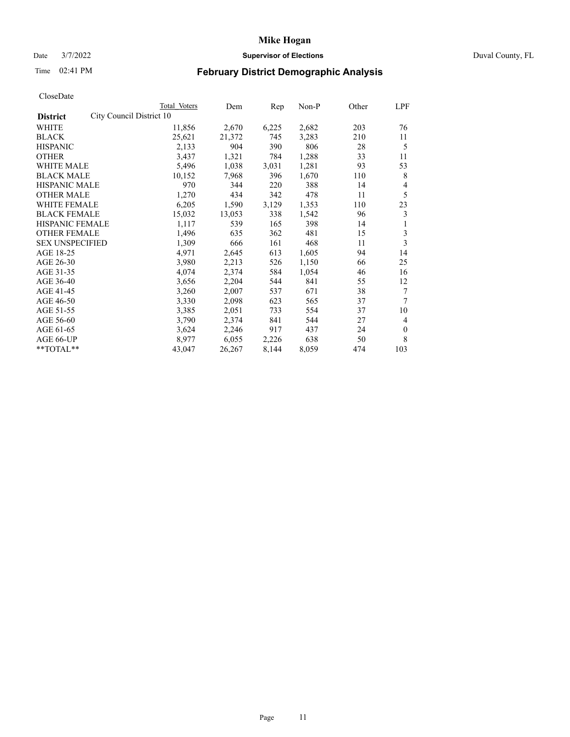# Date 3/7/2022 **Supervisor of Elections** Duval County, FL

# Time 02:41 PM **February District Demographic Analysis**

|                                             | Total Voters | Dem    | Rep   | Non-P | Other | LPF          |
|---------------------------------------------|--------------|--------|-------|-------|-------|--------------|
| City Council District 10<br><b>District</b> |              |        |       |       |       |              |
| WHITE                                       | 11,856       | 2,670  | 6,225 | 2,682 | 203   | 76           |
| <b>BLACK</b>                                | 25,621       | 21,372 | 745   | 3,283 | 210   | 11           |
| <b>HISPANIC</b>                             | 2,133        | 904    | 390   | 806   | 28    | 5            |
| <b>OTHER</b>                                | 3,437        | 1,321  | 784   | 1,288 | 33    | 11           |
| <b>WHITE MALE</b>                           | 5,496        | 1,038  | 3,031 | 1,281 | 93    | 53           |
| <b>BLACK MALE</b>                           | 10,152       | 7,968  | 396   | 1,670 | 110   | 8            |
| <b>HISPANIC MALE</b>                        | 970          | 344    | 220   | 388   | 14    | 4            |
| <b>OTHER MALE</b>                           | 1,270        | 434    | 342   | 478   | 11    | 5            |
| WHITE FEMALE                                | 6,205        | 1,590  | 3,129 | 1,353 | 110   | 23           |
| <b>BLACK FEMALE</b>                         | 15,032       | 13,053 | 338   | 1,542 | 96    | 3            |
| <b>HISPANIC FEMALE</b>                      | 1,117        | 539    | 165   | 398   | 14    | 1            |
| <b>OTHER FEMALE</b>                         | 1,496        | 635    | 362   | 481   | 15    | 3            |
| <b>SEX UNSPECIFIED</b>                      | 1,309        | 666    | 161   | 468   | 11    | 3            |
| AGE 18-25                                   | 4,971        | 2,645  | 613   | 1,605 | 94    | 14           |
| AGE 26-30                                   | 3,980        | 2,213  | 526   | 1,150 | 66    | 25           |
| AGE 31-35                                   | 4,074        | 2,374  | 584   | 1,054 | 46    | 16           |
| AGE 36-40                                   | 3,656        | 2,204  | 544   | 841   | 55    | 12           |
| AGE 41-45                                   | 3,260        | 2,007  | 537   | 671   | 38    | 7            |
| AGE 46-50                                   | 3,330        | 2,098  | 623   | 565   | 37    | 7            |
| AGE 51-55                                   | 3,385        | 2,051  | 733   | 554   | 37    | 10           |
| AGE 56-60                                   | 3,790        | 2,374  | 841   | 544   | 27    | 4            |
| AGE 61-65                                   | 3,624        | 2,246  | 917   | 437   | 24    | $\mathbf{0}$ |
| AGE 66-UP                                   | 8,977        | 6,055  | 2,226 | 638   | 50    | 8            |
| **TOTAL**                                   | 43,047       | 26,267 | 8,144 | 8,059 | 474   | 103          |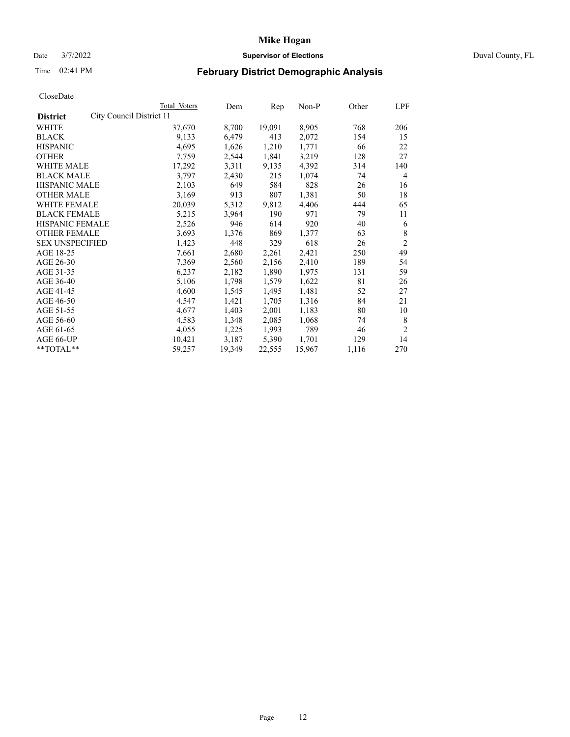# Date 3/7/2022 **Supervisor of Elections** Duval County, FL

# Time 02:41 PM **February District Demographic Analysis**

|                                             | Total Voters | Dem    | Rep    | Non-P  | Other | LPF            |
|---------------------------------------------|--------------|--------|--------|--------|-------|----------------|
| City Council District 11<br><b>District</b> |              |        |        |        |       |                |
| WHITE                                       | 37,670       | 8,700  | 19,091 | 8,905  | 768   | 206            |
| <b>BLACK</b>                                | 9,133        | 6,479  | 413    | 2,072  | 154   | 15             |
| <b>HISPANIC</b>                             | 4,695        | 1,626  | 1,210  | 1,771  | 66    | 22             |
| <b>OTHER</b>                                | 7,759        | 2,544  | 1,841  | 3,219  | 128   | 27             |
| <b>WHITE MALE</b>                           | 17,292       | 3,311  | 9,135  | 4,392  | 314   | 140            |
| <b>BLACK MALE</b>                           | 3,797        | 2,430  | 215    | 1,074  | 74    | 4              |
| <b>HISPANIC MALE</b>                        | 2,103        | 649    | 584    | 828    | 26    | 16             |
| <b>OTHER MALE</b>                           | 3,169        | 913    | 807    | 1,381  | 50    | 18             |
| WHITE FEMALE                                | 20,039       | 5,312  | 9,812  | 4,406  | 444   | 65             |
| <b>BLACK FEMALE</b>                         | 5,215        | 3,964  | 190    | 971    | 79    | 11             |
| <b>HISPANIC FEMALE</b>                      | 2,526        | 946    | 614    | 920    | 40    | 6              |
| <b>OTHER FEMALE</b>                         | 3,693        | 1,376  | 869    | 1,377  | 63    | 8              |
| <b>SEX UNSPECIFIED</b>                      | 1,423        | 448    | 329    | 618    | 26    | $\overline{2}$ |
| AGE 18-25                                   | 7,661        | 2,680  | 2,261  | 2,421  | 250   | 49             |
| AGE 26-30                                   | 7,369        | 2,560  | 2,156  | 2,410  | 189   | 54             |
| AGE 31-35                                   | 6,237        | 2,182  | 1,890  | 1,975  | 131   | 59             |
| AGE 36-40                                   | 5,106        | 1,798  | 1,579  | 1,622  | 81    | 26             |
| AGE 41-45                                   | 4,600        | 1,545  | 1,495  | 1,481  | 52    | 27             |
| AGE 46-50                                   | 4,547        | 1,421  | 1,705  | 1,316  | 84    | 21             |
| AGE 51-55                                   | 4,677        | 1,403  | 2,001  | 1,183  | 80    | 10             |
| AGE 56-60                                   | 4,583        | 1,348  | 2,085  | 1,068  | 74    | 8              |
| AGE 61-65                                   | 4,055        | 1,225  | 1,993  | 789    | 46    | $\overline{2}$ |
| AGE 66-UP                                   | 10,421       | 3,187  | 5,390  | 1,701  | 129   | 14             |
| $*$ TOTAL $*$                               | 59,257       | 19,349 | 22,555 | 15,967 | 1,116 | 270            |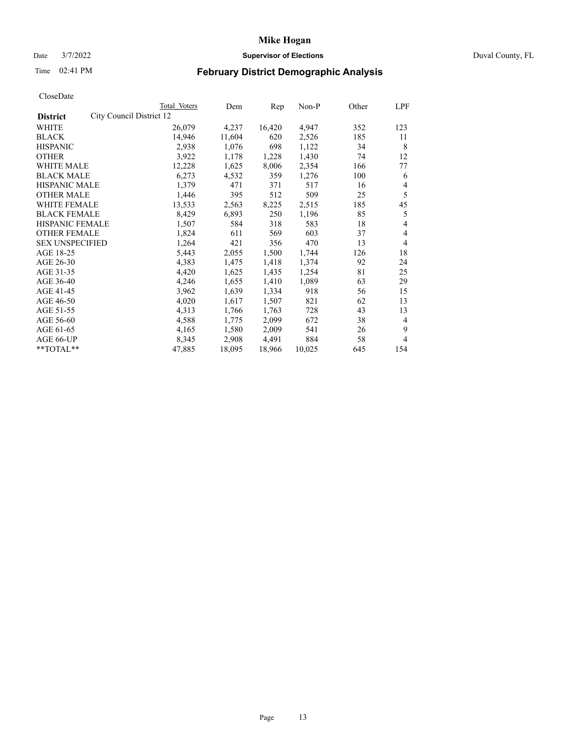# Date 3/7/2022 **Supervisor of Elections** Duval County, FL

# Time 02:41 PM **February District Demographic Analysis**

|                                             | Total Voters | Dem    | Rep    | $Non-P$ | Other | <b>LPF</b>     |
|---------------------------------------------|--------------|--------|--------|---------|-------|----------------|
| City Council District 12<br><b>District</b> |              |        |        |         |       |                |
| WHITE                                       | 26,079       | 4,237  | 16,420 | 4,947   | 352   | 123            |
| <b>BLACK</b>                                | 14.946       | 11,604 | 620    | 2,526   | 185   | 11             |
| <b>HISPANIC</b>                             | 2,938        | 1,076  | 698    | 1,122   | 34    | 8              |
| <b>OTHER</b>                                | 3,922        | 1,178  | 1,228  | 1,430   | 74    | 12             |
| <b>WHITE MALE</b>                           | 12,228       | 1,625  | 8,006  | 2,354   | 166   | 77             |
| <b>BLACK MALE</b>                           | 6,273        | 4,532  | 359    | 1,276   | 100   | 6              |
| <b>HISPANIC MALE</b>                        | 1,379        | 471    | 371    | 517     | 16    | $\overline{4}$ |
| <b>OTHER MALE</b>                           | 1,446        | 395    | 512    | 509     | 25    | 5              |
| WHITE FEMALE                                | 13,533       | 2,563  | 8,225  | 2,515   | 185   | 45             |
| <b>BLACK FEMALE</b>                         | 8,429        | 6,893  | 250    | 1,196   | 85    | 5              |
| HISPANIC FEMALE                             | 1,507        | 584    | 318    | 583     | 18    | 4              |
| <b>OTHER FEMALE</b>                         | 1,824        | 611    | 569    | 603     | 37    | $\overline{4}$ |
| <b>SEX UNSPECIFIED</b>                      | 1,264        | 421    | 356    | 470     | 13    | $\overline{4}$ |
| AGE 18-25                                   | 5,443        | 2,055  | 1,500  | 1,744   | 126   | 18             |
| AGE 26-30                                   | 4,383        | 1,475  | 1,418  | 1,374   | 92    | 24             |
| AGE 31-35                                   | 4,420        | 1,625  | 1,435  | 1,254   | 81    | 25             |
| AGE 36-40                                   | 4,246        | 1,655  | 1,410  | 1,089   | 63    | 29             |
| AGE 41-45                                   | 3,962        | 1,639  | 1,334  | 918     | 56    | 15             |
| AGE 46-50                                   | 4,020        | 1,617  | 1,507  | 821     | 62    | 13             |
| AGE 51-55                                   | 4,313        | 1,766  | 1,763  | 728     | 43    | 13             |
| AGE 56-60                                   | 4,588        | 1,775  | 2,099  | 672     | 38    | $\overline{4}$ |
| AGE 61-65                                   | 4,165        | 1,580  | 2,009  | 541     | 26    | 9              |
| AGE 66-UP                                   | 8,345        | 2,908  | 4,491  | 884     | 58    | $\overline{4}$ |
| **TOTAL**                                   | 47,885       | 18,095 | 18,966 | 10,025  | 645   | 154            |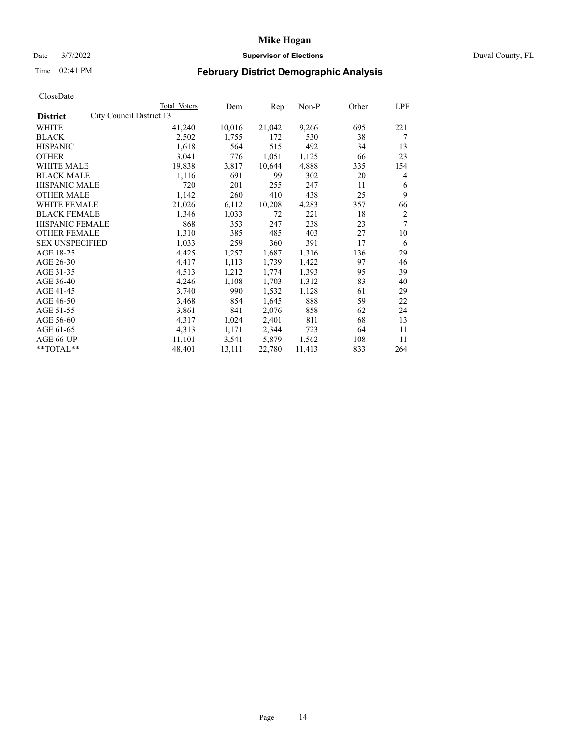# Date 3/7/2022 **Supervisor of Elections** Duval County, FL

# Time 02:41 PM **February District Demographic Analysis**

|                        |                          | Total Voters | Dem    | Rep    | Non-P  | Other | LPF |
|------------------------|--------------------------|--------------|--------|--------|--------|-------|-----|
| <b>District</b>        | City Council District 13 |              |        |        |        |       |     |
| WHITE                  |                          | 41,240       | 10,016 | 21,042 | 9,266  | 695   | 221 |
| <b>BLACK</b>           |                          | 2,502        | 1,755  | 172    | 530    | 38    | 7   |
| <b>HISPANIC</b>        |                          | 1,618        | 564    | 515    | 492    | 34    | 13  |
| <b>OTHER</b>           |                          | 3,041        | 776    | 1,051  | 1,125  | 66    | 23  |
| <b>WHITE MALE</b>      |                          | 19,838       | 3,817  | 10,644 | 4,888  | 335   | 154 |
| <b>BLACK MALE</b>      |                          | 1,116        | 691    | 99     | 302    | 20    | 4   |
| <b>HISPANIC MALE</b>   |                          | 720          | 201    | 255    | 247    | 11    | 6   |
| <b>OTHER MALE</b>      |                          | 1,142        | 260    | 410    | 438    | 25    | 9   |
| WHITE FEMALE           |                          | 21,026       | 6,112  | 10,208 | 4,283  | 357   | 66  |
| <b>BLACK FEMALE</b>    |                          | 1,346        | 1,033  | 72     | 221    | 18    | 2   |
| HISPANIC FEMALE        |                          | 868          | 353    | 247    | 238    | 23    | 7   |
| <b>OTHER FEMALE</b>    |                          | 1,310        | 385    | 485    | 403    | 27    | 10  |
| <b>SEX UNSPECIFIED</b> |                          | 1,033        | 259    | 360    | 391    | 17    | 6   |
| AGE 18-25              |                          | 4,425        | 1,257  | 1,687  | 1,316  | 136   | 29  |
| AGE 26-30              |                          | 4,417        | 1,113  | 1,739  | 1,422  | 97    | 46  |
| AGE 31-35              |                          | 4,513        | 1,212  | 1,774  | 1,393  | 95    | 39  |
| AGE 36-40              |                          | 4,246        | 1,108  | 1,703  | 1,312  | 83    | 40  |
| AGE 41-45              |                          | 3,740        | 990    | 1,532  | 1,128  | 61    | 29  |
| AGE 46-50              |                          | 3,468        | 854    | 1,645  | 888    | 59    | 22  |
| AGE 51-55              |                          | 3,861        | 841    | 2,076  | 858    | 62    | 24  |
| AGE 56-60              |                          | 4,317        | 1,024  | 2,401  | 811    | 68    | 13  |
| AGE 61-65              |                          | 4,313        | 1,171  | 2,344  | 723    | 64    | 11  |
| AGE 66-UP              |                          | 11,101       | 3,541  | 5,879  | 1,562  | 108   | 11  |
| **TOTAL**              |                          | 48,401       | 13,111 | 22,780 | 11,413 | 833   | 264 |
|                        |                          |              |        |        |        |       |     |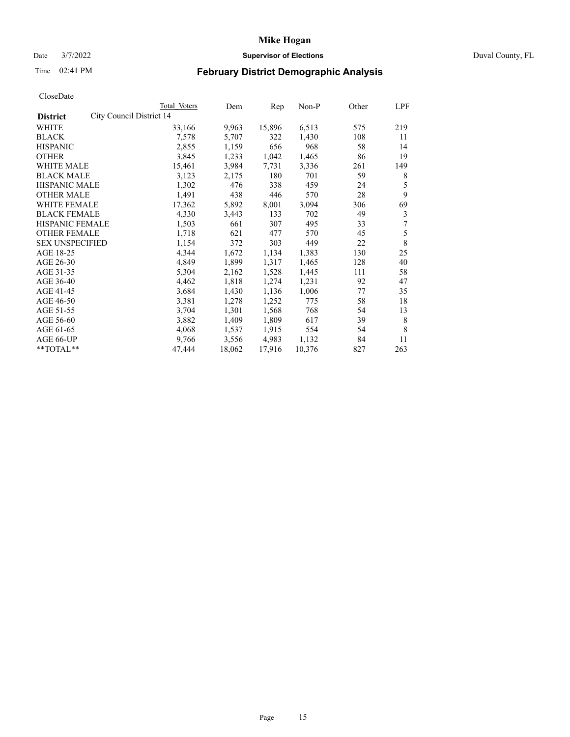# Date 3/7/2022 **Supervisor of Elections** Duval County, FL

# Time 02:41 PM **February District Demographic Analysis**

|                                             | Total Voters | Dem    | Rep    | Non-P  | Other | LPF |
|---------------------------------------------|--------------|--------|--------|--------|-------|-----|
| City Council District 14<br><b>District</b> |              |        |        |        |       |     |
| WHITE                                       | 33,166       | 9,963  | 15,896 | 6,513  | 575   | 219 |
| <b>BLACK</b>                                | 7,578        | 5,707  | 322    | 1,430  | 108   | 11  |
| <b>HISPANIC</b>                             | 2,855        | 1,159  | 656    | 968    | 58    | 14  |
| <b>OTHER</b>                                | 3,845        | 1,233  | 1,042  | 1,465  | 86    | 19  |
| <b>WHITE MALE</b>                           | 15,461       | 3,984  | 7,731  | 3,336  | 261   | 149 |
| <b>BLACK MALE</b>                           | 3,123        | 2,175  | 180    | 701    | 59    | 8   |
| <b>HISPANIC MALE</b>                        | 1,302        | 476    | 338    | 459    | 24    | 5   |
| <b>OTHER MALE</b>                           | 1,491        | 438    | 446    | 570    | 28    | 9   |
| <b>WHITE FEMALE</b>                         | 17,362       | 5,892  | 8,001  | 3,094  | 306   | 69  |
| <b>BLACK FEMALE</b>                         | 4,330        | 3,443  | 133    | 702    | 49    | 3   |
| <b>HISPANIC FEMALE</b>                      | 1,503        | 661    | 307    | 495    | 33    | 7   |
| <b>OTHER FEMALE</b>                         | 1,718        | 621    | 477    | 570    | 45    | 5   |
| <b>SEX UNSPECIFIED</b>                      | 1,154        | 372    | 303    | 449    | 22    | 8   |
| AGE 18-25                                   | 4,344        | 1,672  | 1,134  | 1,383  | 130   | 25  |
| AGE 26-30                                   | 4,849        | 1,899  | 1,317  | 1,465  | 128   | 40  |
| AGE 31-35                                   | 5,304        | 2,162  | 1,528  | 1,445  | 111   | 58  |
| AGE 36-40                                   | 4,462        | 1,818  | 1,274  | 1,231  | 92    | 47  |
| AGE 41-45                                   | 3,684        | 1,430  | 1,136  | 1,006  | 77    | 35  |
| AGE 46-50                                   | 3,381        | 1,278  | 1,252  | 775    | 58    | 18  |
| AGE 51-55                                   | 3,704        | 1,301  | 1,568  | 768    | 54    | 13  |
| AGE 56-60                                   | 3,882        | 1,409  | 1,809  | 617    | 39    | 8   |
| AGE 61-65                                   | 4,068        | 1,537  | 1,915  | 554    | 54    | 8   |
| AGE 66-UP                                   | 9,766        | 3,556  | 4,983  | 1,132  | 84    | 11  |
| $**TOTAL**$                                 | 47,444       | 18,062 | 17,916 | 10,376 | 827   | 263 |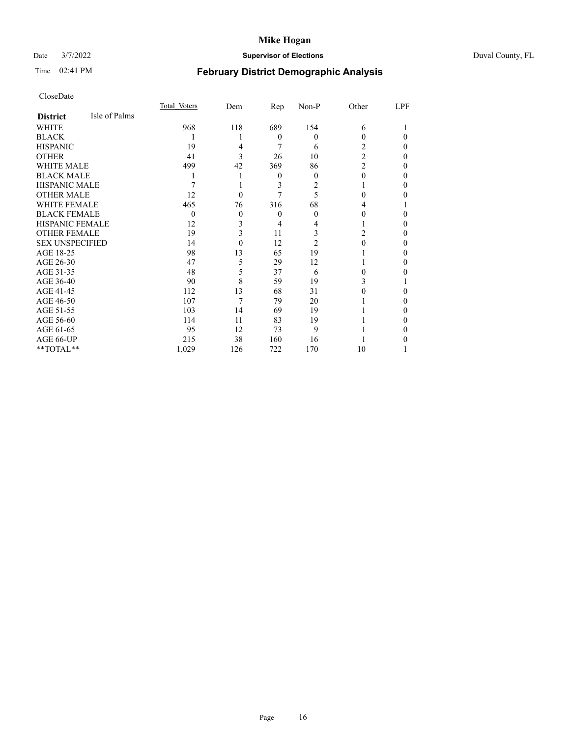# Date 3/7/2022 **Supervisor of Elections** Duval County, FL

# Time 02:41 PM **February District Demographic Analysis**

|                        |               | Total Voters | Dem      | Rep      | $Non-P$ | Other          | LPF |
|------------------------|---------------|--------------|----------|----------|---------|----------------|-----|
| <b>District</b>        | Isle of Palms |              |          |          |         |                |     |
| WHITE                  |               | 968          | 118      | 689      | 154     | 6              |     |
| <b>BLACK</b>           |               |              |          | $\theta$ | 0       | 0              | 0   |
| <b>HISPANIC</b>        |               | 19           | 4        | 7        | 6       | 2              | 0   |
| <b>OTHER</b>           |               | 41           | 3        | 26       | 10      | 2              | 0   |
| WHITE MALE             |               | 499          | 42       | 369      | 86      | $\overline{2}$ | 0   |
| <b>BLACK MALE</b>      |               |              |          | $\theta$ | 0       | 0              | 0   |
| <b>HISPANIC MALE</b>   |               |              |          | 3        | 2       |                | 0   |
| <b>OTHER MALE</b>      |               | 12           | $\theta$ |          | 5       | 0              | 0   |
| <b>WHITE FEMALE</b>    |               | 465          | 76       | 316      | 68      | 4              |     |
| <b>BLACK FEMALE</b>    |               | $\theta$     | $\theta$ | $\theta$ | 0       | 0              | 0   |
| <b>HISPANIC FEMALE</b> |               | 12           | 3        | 4        |         |                | 0   |
| <b>OTHER FEMALE</b>    |               | 19           | 3        | 11       | 3       | 2              | 0   |
| <b>SEX UNSPECIFIED</b> |               | 14           | $\Omega$ | 12       | 2       | 0              | 0   |
| AGE 18-25              |               | 98           | 13       | 65       | 19      |                | 0   |
| AGE 26-30              |               | 47           | 5        | 29       | 12      |                | 0   |
| AGE 31-35              |               | 48           | 5        | 37       | 6       | 0              | 0   |
| AGE 36-40              |               | 90           | 8        | 59       | 19      | 3              |     |
| AGE 41-45              |               | 112          | 13       | 68       | 31      |                | 0   |
| AGE 46-50              |               | 107          | 7        | 79       | 20      |                | 0   |
| AGE 51-55              |               | 103          | 14       | 69       | 19      |                | 0   |
| AGE 56-60              |               | 114          | 11       | 83       | 19      |                | 0   |
| AGE 61-65              |               | 95           | 12       | 73       | 9       |                | 0   |
| AGE 66-UP              |               | 215          | 38       | 160      | 16      |                |     |
| **TOTAL**              |               | 1,029        | 126      | 722      | 170     | 10             |     |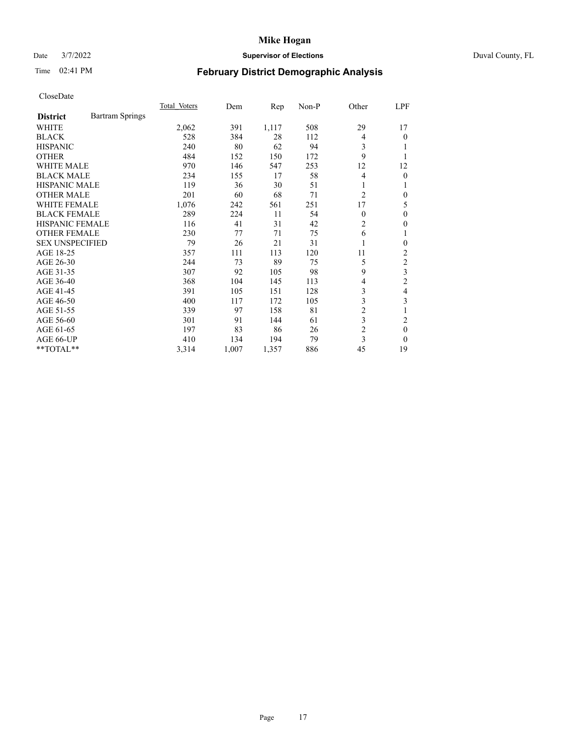# Date 3/7/2022 **Supervisor of Elections** Duval County, FL

# Time 02:41 PM **February District Demographic Analysis**

|                        |                        | Total Voters | Dem   | Rep   | $Non-P$ | Other          | LPF            |
|------------------------|------------------------|--------------|-------|-------|---------|----------------|----------------|
| <b>District</b>        | <b>Bartram Springs</b> |              |       |       |         |                |                |
| <b>WHITE</b>           |                        | 2,062        | 391   | 1,117 | 508     | 29             | 17             |
| <b>BLACK</b>           |                        | 528          | 384   | 28    | 112     | $\overline{4}$ | 0              |
| <b>HISPANIC</b>        |                        | 240          | 80    | 62    | 94      | 3              |                |
| <b>OTHER</b>           |                        | 484          | 152   | 150   | 172     | 9              |                |
| <b>WHITE MALE</b>      |                        | 970          | 146   | 547   | 253     | 12             | 12             |
| <b>BLACK MALE</b>      |                        | 234          | 155   | 17    | 58      | $\overline{4}$ | $\overline{0}$ |
| <b>HISPANIC MALE</b>   |                        | 119          | 36    | 30    | 51      | 1              |                |
| <b>OTHER MALE</b>      |                        | 201          | 60    | 68    | 71      | $\overline{2}$ | 0              |
| <b>WHITE FEMALE</b>    |                        | 1,076        | 242   | 561   | 251     | 17             | 5              |
| <b>BLACK FEMALE</b>    |                        | 289          | 224   | 11    | 54      | $\theta$       | 0              |
| HISPANIC FEMALE        |                        | 116          | 41    | 31    | 42      | $\overline{2}$ | 0              |
| <b>OTHER FEMALE</b>    |                        | 230          | 77    | 71    | 75      | 6              | 1              |
| <b>SEX UNSPECIFIED</b> |                        | 79           | 26    | 21    | 31      | 1              | 0              |
| AGE 18-25              |                        | 357          | 111   | 113   | 120     | 11             | 2              |
| AGE 26-30              |                        | 244          | 73    | 89    | 75      | 5              | $\overline{c}$ |
| AGE 31-35              |                        | 307          | 92    | 105   | 98      | 9              | 3              |
| AGE 36-40              |                        | 368          | 104   | 145   | 113     | 4              | $\overline{2}$ |
| AGE 41-45              |                        | 391          | 105   | 151   | 128     | 3              | 4              |
| AGE 46-50              |                        | 400          | 117   | 172   | 105     | 3              | 3              |
| AGE 51-55              |                        | 339          | 97    | 158   | 81      | 2              |                |
| AGE 56-60              |                        | 301          | 91    | 144   | 61      | 3              | 2              |
| AGE 61-65              |                        | 197          | 83    | 86    | 26      | $\overline{c}$ | $\theta$       |
| AGE 66-UP              |                        | 410          | 134   | 194   | 79      | 3              | $\Omega$       |
| **TOTAL**              |                        | 3,314        | 1,007 | 1,357 | 886     | 45             | 19             |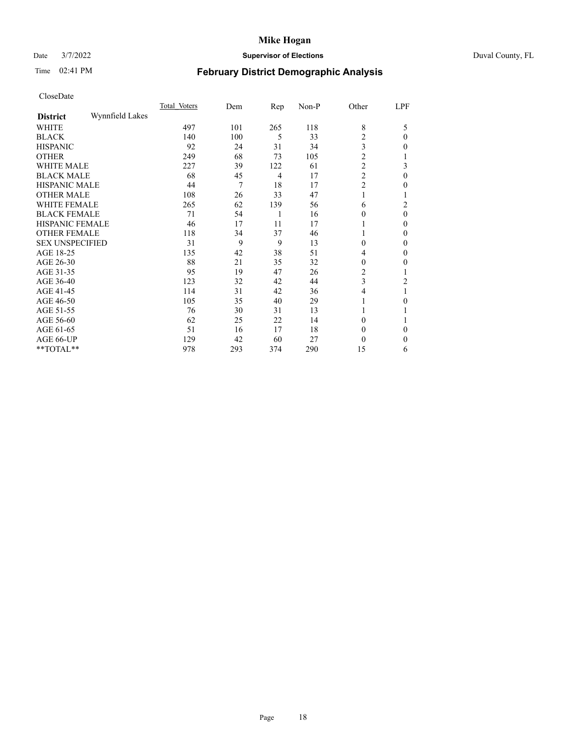# Date 3/7/2022 **Supervisor of Elections** Duval County, FL

# Time 02:41 PM **February District Demographic Analysis**

|                        |                 | Total Voters | Dem | Rep | Non-P | Other          | LPF      |
|------------------------|-----------------|--------------|-----|-----|-------|----------------|----------|
| <b>District</b>        | Wynnfield Lakes |              |     |     |       |                |          |
| WHITE                  |                 | 497          | 101 | 265 | 118   | 8              | 5        |
| <b>BLACK</b>           |                 | 140          | 100 | 5   | 33    | 2              | $\theta$ |
| <b>HISPANIC</b>        |                 | 92           | 24  | 31  | 34    | 3              | 0        |
| <b>OTHER</b>           |                 | 249          | 68  | 73  | 105   | $\overline{c}$ |          |
| WHITE MALE             |                 | 227          | 39  | 122 | 61    | $\overline{c}$ | 3        |
| <b>BLACK MALE</b>      |                 | 68           | 45  | 4   | 17    | $\overline{c}$ | $\theta$ |
| <b>HISPANIC MALE</b>   |                 | 44           | 7   | 18  | 17    | $\overline{2}$ | $_{0}$   |
| <b>OTHER MALE</b>      |                 | 108          | 26  | 33  | 47    |                | 1        |
| WHITE FEMALE           |                 | 265          | 62  | 139 | 56    | 6              | 2        |
| <b>BLACK FEMALE</b>    |                 | 71           | 54  | 1   | 16    | 0              | $\theta$ |
| <b>HISPANIC FEMALE</b> |                 | 46           | 17  | 11  | 17    |                | $\Omega$ |
| <b>OTHER FEMALE</b>    |                 | 118          | 34  | 37  | 46    |                | $\Omega$ |
| <b>SEX UNSPECIFIED</b> |                 | 31           | 9   | 9   | 13    | $\theta$       | $\Omega$ |
| AGE 18-25              |                 | 135          | 42  | 38  | 51    | 4              | $\theta$ |
| AGE 26-30              |                 | 88           | 21  | 35  | 32    | 0              | $\theta$ |
| AGE 31-35              |                 | 95           | 19  | 47  | 26    | 2              |          |
| AGE 36-40              |                 | 123          | 32  | 42  | 44    | 3              | 2        |
| AGE 41-45              |                 | 114          | 31  | 42  | 36    | 4              |          |
| AGE 46-50              |                 | 105          | 35  | 40  | 29    |                | 0        |
| AGE 51-55              |                 | 76           | 30  | 31  | 13    |                |          |
| AGE 56-60              |                 | 62           | 25  | 22  | 14    | $\Omega$       |          |
| AGE 61-65              |                 | 51           | 16  | 17  | 18    | $\theta$       | $\Omega$ |
| AGE 66-UP              |                 | 129          | 42  | 60  | 27    | $\theta$       | 0        |
| **TOTAL**              |                 | 978          | 293 | 374 | 290   | 15             | 6        |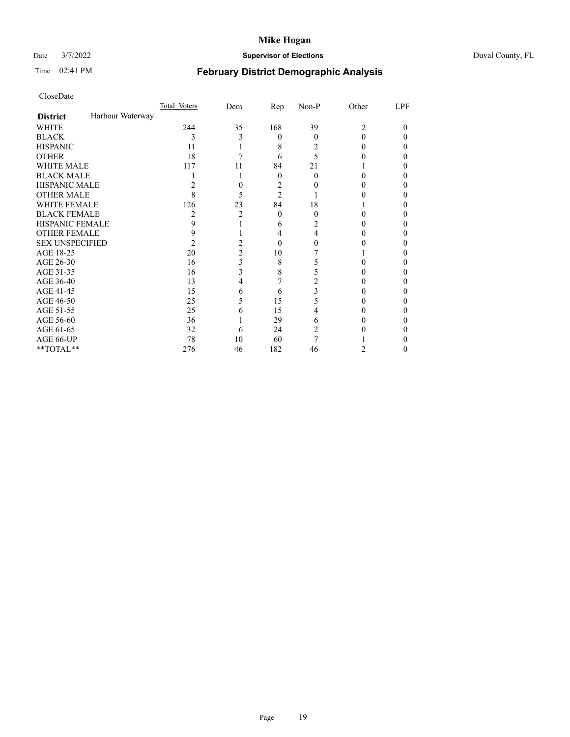# Date 3/7/2022 **Supervisor of Elections** Duval County, FL

# Time 02:41 PM **February District Demographic Analysis**

| CloseDate |
|-----------|
|-----------|

|                        |                  | Total Voters | Dem | Rep            | Non-P | Other | LPF    |
|------------------------|------------------|--------------|-----|----------------|-------|-------|--------|
| <b>District</b>        | Harbour Waterway |              |     |                |       |       |        |
| WHITE                  |                  | 244          | 35  | 168            | 39    | 2     | $_{0}$ |
| <b>BLACK</b>           |                  | 3            | 3   | $\theta$       | 0     | 0     | 0      |
| <b>HISPANIC</b>        |                  | 11           |     | 8              | 2     | 0     | 0      |
| <b>OTHER</b>           |                  | 18           |     | 6              | 5     |       | 0      |
| <b>WHITE MALE</b>      |                  | 117          | 11  | 84             | 21    |       | 0      |
| <b>BLACK MALE</b>      |                  |              |     | 0              | 0     |       | 0      |
| <b>HISPANIC MALE</b>   |                  | 2            | 0   | 2              |       |       | 0      |
| <b>OTHER MALE</b>      |                  | 8            | 5   | $\overline{2}$ |       |       | 0      |
| <b>WHITE FEMALE</b>    |                  | 126          | 23  | 84             | 18    |       | 0      |
| <b>BLACK FEMALE</b>    |                  | 2            | 2   | $\theta$       | 0     | 0     | 0      |
| <b>HISPANIC FEMALE</b> |                  | 9            |     | 6              |       | 0     | 0      |
| <b>OTHER FEMALE</b>    |                  | 9            |     | 4              | 4     | 0     | 0      |
| <b>SEX UNSPECIFIED</b> |                  | 2            |     | 0              |       |       | 0      |
| AGE 18-25              |                  | 20           | 2   | 10             |       |       | 0      |
| AGE 26-30              |                  | 16           | 3   | 8              |       | 0     | 0      |
| AGE 31-35              |                  | 16           | 3   | 8              |       |       | 0      |
| AGE 36-40              |                  | 13           | 4   |                | 2     | 0     | 0      |
| AGE 41-45              |                  | 15           | 6   | 6              | 3     |       | 0      |
| AGE 46-50              |                  | 25           | 5   | 15             | 5     | 0     | 0      |
| AGE 51-55              |                  | 25           | 6   | 15             |       | 0     | 0      |
| AGE 56-60              |                  | 36           |     | 29             | 6     |       | 0      |
| AGE 61-65              |                  | 32           | 6   | 24             | 2     |       | 0      |
| AGE 66-UP              |                  | 78           | 10  | 60             |       |       | 0      |
| **TOTAL**              |                  | 276          | 46  | 182            | 46    | 2     | 0      |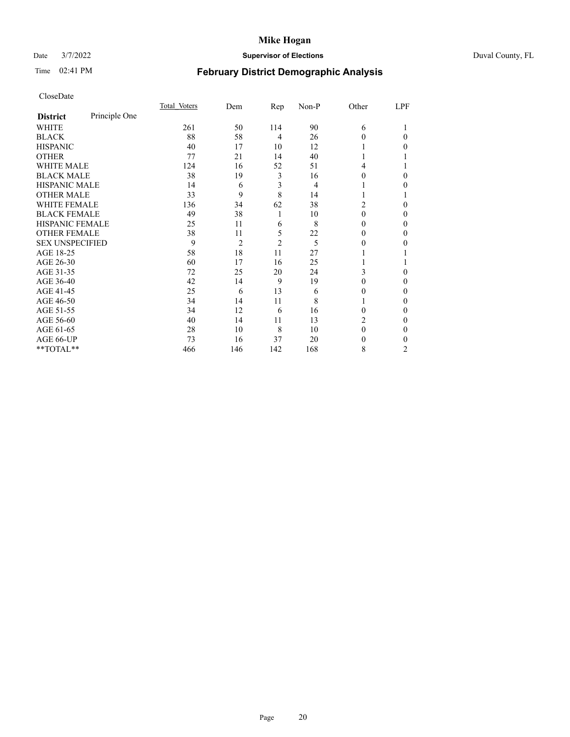# Date 3/7/2022 **Supervisor of Elections** Duval County, FL

# Time 02:41 PM **February District Demographic Analysis**

|                        |               | Total Voters | Dem            | Rep            | Non-P | Other    | LPF            |
|------------------------|---------------|--------------|----------------|----------------|-------|----------|----------------|
| <b>District</b>        | Principle One |              |                |                |       |          |                |
| WHITE                  |               | 261          | 50             | 114            | 90    | 6        |                |
| <b>BLACK</b>           |               | 88           | 58             | $\overline{4}$ | 26    | 0        | 0              |
| <b>HISPANIC</b>        |               | 40           | 17             | 10             | 12    |          | 0              |
| <b>OTHER</b>           |               | 77           | 21             | 14             | 40    |          |                |
| WHITE MALE             |               | 124          | 16             | 52             | 51    | 4        |                |
| <b>BLACK MALE</b>      |               | 38           | 19             | 3              | 16    | 0        | 0              |
| <b>HISPANIC MALE</b>   |               | 14           | 6              | 3              | 4     |          | 0              |
| <b>OTHER MALE</b>      |               | 33           | 9              | 8              | 14    |          |                |
| WHITE FEMALE           |               | 136          | 34             | 62             | 38    | 2        | 0              |
| <b>BLACK FEMALE</b>    |               | 49           | 38             | 1              | 10    | $\Omega$ | 0              |
| <b>HISPANIC FEMALE</b> |               | 25           | 11             | 6              | 8     | 0        | 0              |
| <b>OTHER FEMALE</b>    |               | 38           | 11             | 5              | 22    | 0        | 0              |
| <b>SEX UNSPECIFIED</b> |               | 9            | $\overline{2}$ | $\overline{2}$ | 5     | 0        | 0              |
| AGE 18-25              |               | 58           | 18             | 11             | 27    |          |                |
| AGE 26-30              |               | 60           | 17             | 16             | 25    |          |                |
| AGE 31-35              |               | 72           | 25             | 20             | 24    | 3        | 0              |
| AGE 36-40              |               | 42           | 14             | 9              | 19    | 0        | 0              |
| AGE 41-45              |               | 25           | 6              | 13             | 6     | $_{0}$   | 0              |
| AGE 46-50              |               | 34           | 14             | 11             | 8     |          | 0              |
| AGE 51-55              |               | 34           | 12             | 6              | 16    | 0        | 0              |
| AGE 56-60              |               | 40           | 14             | 11             | 13    | 2        | 0              |
| AGE 61-65              |               | 28           | 10             | 8              | 10    | 0        | 0              |
| AGE 66-UP              |               | 73           | 16             | 37             | 20    | $_{0}$   | 0              |
| **TOTAL**              |               | 466          | 146            | 142            | 168   | 8        | $\overline{2}$ |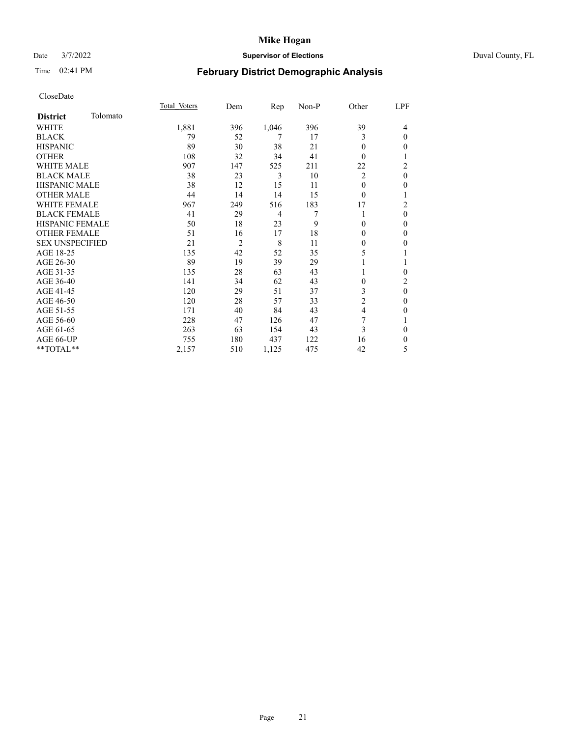# Date 3/7/2022 **Supervisor of Elections** Duval County, FL

# Time 02:41 PM **February District Demographic Analysis**

|                        |          | Total Voters | Dem            | Rep   | Non-P | Other          | LPF            |
|------------------------|----------|--------------|----------------|-------|-------|----------------|----------------|
| <b>District</b>        | Tolomato |              |                |       |       |                |                |
| WHITE                  |          | 1,881        | 396            | 1,046 | 396   | 39             | 4              |
| <b>BLACK</b>           |          | 79           | 52             | 7     | 17    | 3              | $\mathbf{0}$   |
| <b>HISPANIC</b>        |          | 89           | 30             | 38    | 21    | 0              | $\theta$       |
| <b>OTHER</b>           |          | 108          | 32             | 34    | 41    | 0              | 1              |
| <b>WHITE MALE</b>      |          | 907          | 147            | 525   | 211   | 22             | $\overline{c}$ |
| <b>BLACK MALE</b>      |          | 38           | 23             | 3     | 10    | 2              | $\mathbf{0}$   |
| <b>HISPANIC MALE</b>   |          | 38           | 12             | 15    | 11    | $\Omega$       | $\mathbf{0}$   |
| <b>OTHER MALE</b>      |          | 44           | 14             | 14    | 15    | 0              | 1              |
| <b>WHITE FEMALE</b>    |          | 967          | 249            | 516   | 183   | 17             | $\overline{c}$ |
| <b>BLACK FEMALE</b>    |          | 41           | 29             | 4     |       |                | $\theta$       |
| <b>HISPANIC FEMALE</b> |          | 50           | 18             | 23    | 9     | 0              | $\theta$       |
| <b>OTHER FEMALE</b>    |          | 51           | 16             | 17    | 18    | $\Omega$       | $\mathbf{0}$   |
| <b>SEX UNSPECIFIED</b> |          | 21           | $\overline{2}$ | 8     | 11    | $\mathbf{0}$   | $\mathbf{0}$   |
| AGE 18-25              |          | 135          | 42             | 52    | 35    | 5              | 1              |
| AGE 26-30              |          | 89           | 19             | 39    | 29    |                | 1              |
| AGE 31-35              |          | 135          | 28             | 63    | 43    |                | $\theta$       |
| AGE 36-40              |          | 141          | 34             | 62    | 43    | $\theta$       | $\overline{c}$ |
| AGE 41-45              |          | 120          | 29             | 51    | 37    | 3              | $\mathbf{0}$   |
| AGE 46-50              |          | 120          | 28             | 57    | 33    | $\overline{c}$ | $\mathbf{0}$   |
| AGE 51-55              |          | 171          | 40             | 84    | 43    | 4              | $\mathbf{0}$   |
| AGE 56-60              |          | 228          | 47             | 126   | 47    | 7              | 1              |
| AGE 61-65              |          | 263          | 63             | 154   | 43    | 3              | $\mathbf{0}$   |
| AGE 66-UP              |          | 755          | 180            | 437   | 122   | 16             | $\mathbf{0}$   |
| $**TOTAL**$            |          | 2,157        | 510            | 1,125 | 475   | 42             | 5              |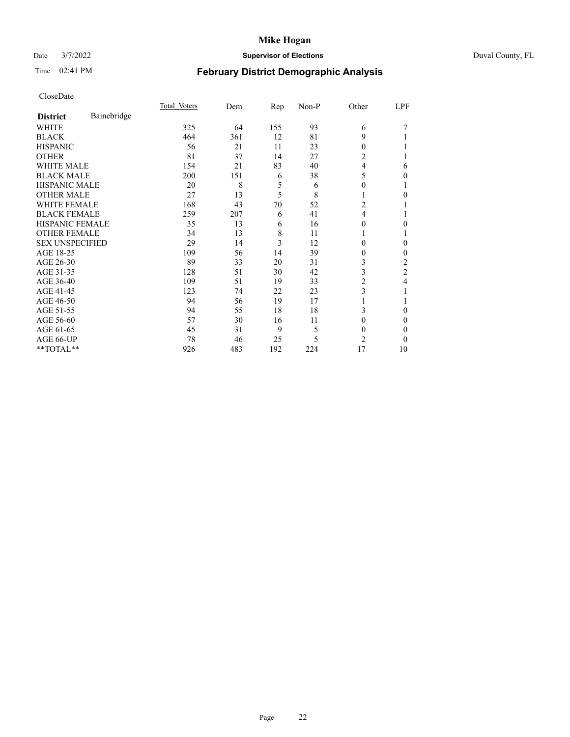# Date 3/7/2022 **Supervisor of Elections** Duval County, FL

# Time 02:41 PM **February District Demographic Analysis**

|                        |             | Total Voters | Dem | Rep | Non-P | Other          | LPF |
|------------------------|-------------|--------------|-----|-----|-------|----------------|-----|
| <b>District</b>        | Bainebridge |              |     |     |       |                |     |
| WHITE                  |             | 325          | 64  | 155 | 93    | 6              |     |
| <b>BLACK</b>           |             | 464          | 361 | 12  | 81    | 9              |     |
| <b>HISPANIC</b>        |             | 56           | 21  | 11  | 23    | $\Omega$       |     |
| <b>OTHER</b>           |             | 81           | 37  | 14  | 27    | 2              |     |
| WHITE MALE             |             | 154          | 21  | 83  | 40    | 4              | 6   |
| <b>BLACK MALE</b>      |             | 200          | 151 | 6   | 38    | 5              | 0   |
| <b>HISPANIC MALE</b>   |             | 20           | 8   | 5   | 6     | 0              |     |
| <b>OTHER MALE</b>      |             | 27           | 13  | 5   | 8     | 1              | 0   |
| WHITE FEMALE           |             | 168          | 43  | 70  | 52    | 2              |     |
| <b>BLACK FEMALE</b>    |             | 259          | 207 | 6   | 41    | $\overline{4}$ |     |
| <b>HISPANIC FEMALE</b> |             | 35           | 13  | 6   | 16    | 0              | 0   |
| <b>OTHER FEMALE</b>    |             | 34           | 13  | 8   | 11    | 1              |     |
| <b>SEX UNSPECIFIED</b> |             | 29           | 14  | 3   | 12    | 0              | 0   |
| AGE 18-25              |             | 109          | 56  | 14  | 39    | 0              | 0   |
| AGE 26-30              |             | 89           | 33  | 20  | 31    | 3              | 2   |
| AGE 31-35              |             | 128          | 51  | 30  | 42    | 3              | 2   |
| AGE 36-40              |             | 109          | 51  | 19  | 33    | 2              | 4   |
| AGE 41-45              |             | 123          | 74  | 22  | 23    | 3              |     |
| AGE 46-50              |             | 94           | 56  | 19  | 17    |                |     |
| AGE 51-55              |             | 94           | 55  | 18  | 18    | 3              | 0   |
| AGE 56-60              |             | 57           | 30  | 16  | 11    | 0              | 0   |
| AGE 61-65              |             | 45           | 31  | 9   | 5     | $\theta$       | 0   |
| AGE 66-UP              |             | 78           | 46  | 25  | 5     | 2              | 0   |
| $*$ TOTAL $**$         |             | 926          | 483 | 192 | 224   | 17             | 10  |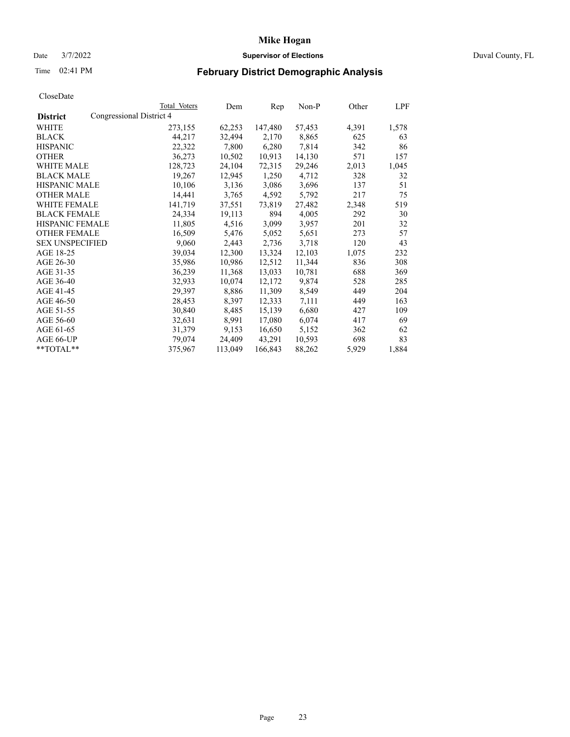# Date 3/7/2022 **Supervisor of Elections** Duval County, FL

# Time 02:41 PM **February District Demographic Analysis**

|                        |                          | Total Voters | Dem     | Rep     | $Non-P$ | Other | LPF   |
|------------------------|--------------------------|--------------|---------|---------|---------|-------|-------|
| <b>District</b>        | Congressional District 4 |              |         |         |         |       |       |
| WHITE                  |                          | 273,155      | 62,253  | 147,480 | 57,453  | 4,391 | 1,578 |
| <b>BLACK</b>           |                          | 44,217       | 32,494  | 2,170   | 8,865   | 625   | 63    |
| <b>HISPANIC</b>        |                          | 22,322       | 7,800   | 6,280   | 7,814   | 342   | 86    |
| <b>OTHER</b>           |                          | 36,273       | 10,502  | 10,913  | 14,130  | 571   | 157   |
| <b>WHITE MALE</b>      |                          | 128,723      | 24,104  | 72,315  | 29,246  | 2,013 | 1,045 |
| <b>BLACK MALE</b>      |                          | 19,267       | 12,945  | 1,250   | 4,712   | 328   | 32    |
| <b>HISPANIC MALE</b>   |                          | 10,106       | 3,136   | 3,086   | 3,696   | 137   | 51    |
| <b>OTHER MALE</b>      |                          | 14,441       | 3,765   | 4,592   | 5,792   | 217   | 75    |
| <b>WHITE FEMALE</b>    |                          | 141,719      | 37,551  | 73,819  | 27,482  | 2,348 | 519   |
| <b>BLACK FEMALE</b>    |                          | 24,334       | 19,113  | 894     | 4,005   | 292   | 30    |
| HISPANIC FEMALE        |                          | 11,805       | 4,516   | 3,099   | 3,957   | 201   | 32    |
| <b>OTHER FEMALE</b>    |                          | 16,509       | 5,476   | 5,052   | 5,651   | 273   | 57    |
| <b>SEX UNSPECIFIED</b> |                          | 9,060        | 2,443   | 2,736   | 3,718   | 120   | 43    |
| AGE 18-25              |                          | 39,034       | 12,300  | 13,324  | 12,103  | 1,075 | 232   |
| AGE 26-30              |                          | 35,986       | 10,986  | 12,512  | 11,344  | 836   | 308   |
| AGE 31-35              |                          | 36,239       | 11,368  | 13,033  | 10,781  | 688   | 369   |
| AGE 36-40              |                          | 32,933       | 10,074  | 12,172  | 9,874   | 528   | 285   |
| AGE 41-45              |                          | 29,397       | 8,886   | 11,309  | 8,549   | 449   | 204   |
| AGE 46-50              |                          | 28,453       | 8,397   | 12,333  | 7,111   | 449   | 163   |
| AGE 51-55              |                          | 30,840       | 8,485   | 15,139  | 6,680   | 427   | 109   |
| AGE 56-60              |                          | 32,631       | 8,991   | 17,080  | 6,074   | 417   | 69    |
| AGE 61-65              |                          | 31,379       | 9,153   | 16,650  | 5,152   | 362   | 62    |
| AGE 66-UP              |                          | 79,074       | 24,409  | 43,291  | 10,593  | 698   | 83    |
| **TOTAL**              |                          | 375,967      | 113,049 | 166,843 | 88,262  | 5,929 | 1,884 |
|                        |                          |              |         |         |         |       |       |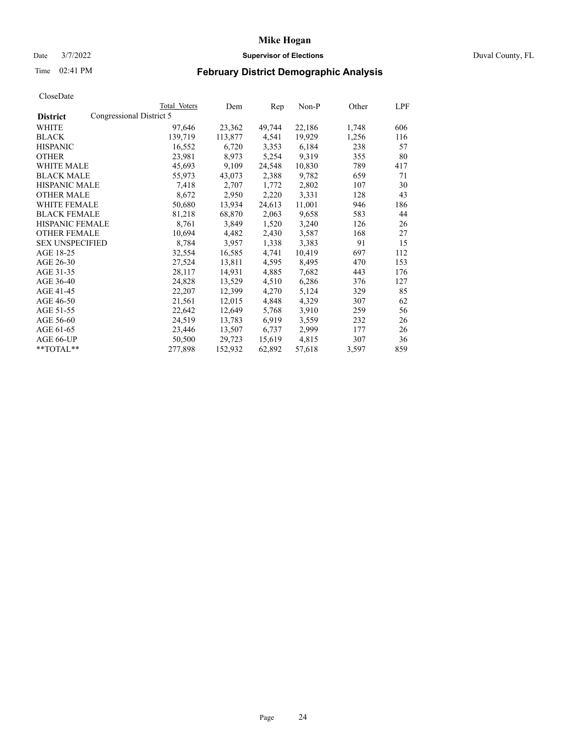# Date 3/7/2022 **Supervisor of Elections** Duval County, FL

# Time 02:41 PM **February District Demographic Analysis**

|                        |                          | Total Voters | Dem     | Rep    | Non-P  | Other | LPF |
|------------------------|--------------------------|--------------|---------|--------|--------|-------|-----|
| <b>District</b>        | Congressional District 5 |              |         |        |        |       |     |
| WHITE                  |                          | 97,646       | 23,362  | 49,744 | 22,186 | 1,748 | 606 |
| <b>BLACK</b>           |                          | 139,719      | 113,877 | 4,541  | 19,929 | 1,256 | 116 |
| <b>HISPANIC</b>        |                          | 16,552       | 6,720   | 3,353  | 6,184  | 238   | 57  |
| <b>OTHER</b>           |                          | 23,981       | 8,973   | 5,254  | 9,319  | 355   | 80  |
| <b>WHITE MALE</b>      |                          | 45,693       | 9,109   | 24,548 | 10,830 | 789   | 417 |
| <b>BLACK MALE</b>      |                          | 55,973       | 43,073  | 2,388  | 9,782  | 659   | 71  |
| <b>HISPANIC MALE</b>   |                          | 7,418        | 2,707   | 1,772  | 2,802  | 107   | 30  |
| <b>OTHER MALE</b>      |                          | 8,672        | 2,950   | 2,220  | 3,331  | 128   | 43  |
| <b>WHITE FEMALE</b>    |                          | 50,680       | 13,934  | 24,613 | 11,001 | 946   | 186 |
| <b>BLACK FEMALE</b>    |                          | 81,218       | 68,870  | 2,063  | 9,658  | 583   | 44  |
| <b>HISPANIC FEMALE</b> |                          | 8,761        | 3,849   | 1,520  | 3,240  | 126   | 26  |
| <b>OTHER FEMALE</b>    |                          | 10,694       | 4,482   | 2,430  | 3,587  | 168   | 27  |
| <b>SEX UNSPECIFIED</b> |                          | 8,784        | 3,957   | 1,338  | 3,383  | 91    | 15  |
| AGE 18-25              |                          | 32,554       | 16,585  | 4,741  | 10,419 | 697   | 112 |
| AGE 26-30              |                          | 27,524       | 13,811  | 4,595  | 8,495  | 470   | 153 |
| AGE 31-35              |                          | 28,117       | 14,931  | 4,885  | 7,682  | 443   | 176 |
| AGE 36-40              |                          | 24,828       | 13,529  | 4,510  | 6,286  | 376   | 127 |
| AGE 41-45              |                          | 22,207       | 12,399  | 4,270  | 5,124  | 329   | 85  |
| AGE 46-50              |                          | 21,561       | 12,015  | 4,848  | 4,329  | 307   | 62  |
| AGE 51-55              |                          | 22,642       | 12,649  | 5,768  | 3,910  | 259   | 56  |
| AGE 56-60              |                          | 24,519       | 13,783  | 6,919  | 3,559  | 232   | 26  |
| AGE 61-65              |                          | 23,446       | 13,507  | 6,737  | 2,999  | 177   | 26  |
| AGE 66-UP              |                          | 50,500       | 29,723  | 15,619 | 4,815  | 307   | 36  |
| $*$ TOTAL $*$          |                          | 277,898      | 152,932 | 62,892 | 57,618 | 3,597 | 859 |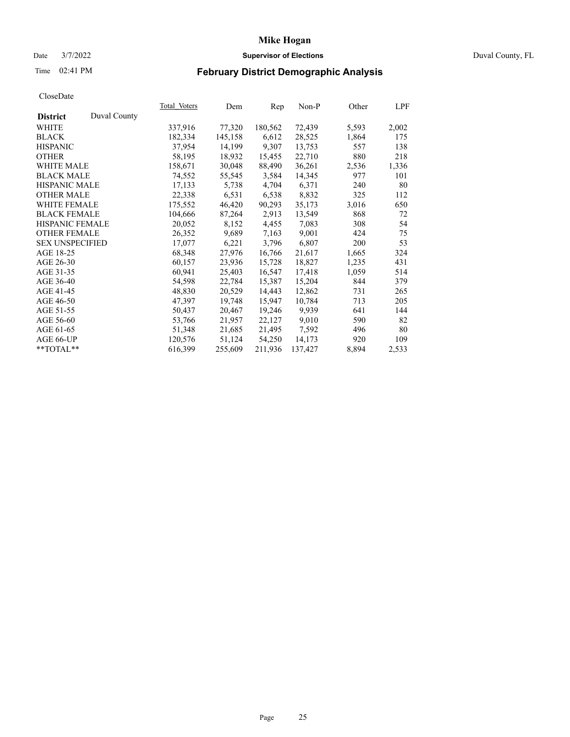# Date 3/7/2022 **Supervisor of Elections** Duval County, FL

# Time 02:41 PM **February District Demographic Analysis**

| <b>Total Voters</b> | Dem     | Rep     | $Non-P$ | Other | LPF   |
|---------------------|---------|---------|---------|-------|-------|
|                     |         |         |         |       |       |
| 337,916             | 77,320  | 180,562 | 72,439  | 5,593 | 2,002 |
| 182,334             | 145,158 | 6,612   | 28,525  | 1,864 | 175   |
| 37,954              | 14,199  | 9.307   | 13,753  | 557   | 138   |
| 58,195              | 18,932  | 15,455  | 22,710  | 880   | 218   |
| 158,671             | 30,048  | 88,490  | 36,261  | 2,536 | 1,336 |
| 74,552              | 55,545  | 3,584   | 14,345  | 977   | 101   |
| 17,133              | 5,738   | 4,704   | 6,371   | 240   | 80    |
| 22,338              | 6,531   | 6,538   | 8,832   | 325   | 112   |
| 175,552             | 46,420  | 90,293  | 35,173  | 3,016 | 650   |
| 104,666             | 87,264  | 2,913   | 13,549  | 868   | 72    |
| 20,052              | 8,152   | 4,455   | 7,083   | 308   | 54    |
| 26,352              | 9,689   | 7,163   | 9,001   | 424   | 75    |
| 17,077              | 6,221   | 3,796   | 6,807   | 200   | 53    |
| 68,348              | 27,976  | 16,766  | 21,617  | 1,665 | 324   |
| 60,157              | 23,936  | 15,728  | 18,827  | 1,235 | 431   |
| 60,941              | 25,403  | 16,547  | 17,418  | 1,059 | 514   |
| 54,598              | 22,784  | 15,387  | 15,204  | 844   | 379   |
| 48,830              | 20,529  | 14,443  | 12,862  | 731   | 265   |
| 47,397              | 19,748  | 15,947  | 10,784  | 713   | 205   |
| 50,437              | 20,467  | 19,246  | 9,939   | 641   | 144   |
| 53,766              | 21,957  | 22,127  | 9,010   | 590   | 82    |
| 51,348              | 21,685  | 21,495  | 7,592   | 496   | 80    |
| 120,576             | 51,124  | 54,250  | 14,173  | 920   | 109   |
| 616,399             | 255,609 | 211,936 | 137,427 | 8,894 | 2,533 |
|                     |         |         |         |       |       |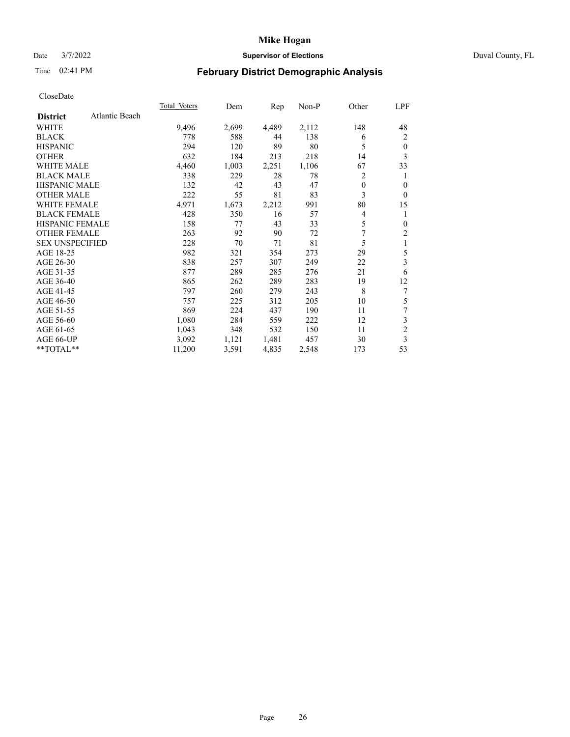# Date 3/7/2022 **Supervisor of Elections** Duval County, FL

# Time 02:41 PM **February District Demographic Analysis**

|                        |                | <b>Total Voters</b> | Dem   | Rep   | $Non-P$ | Other        | LPF            |
|------------------------|----------------|---------------------|-------|-------|---------|--------------|----------------|
| <b>District</b>        | Atlantic Beach |                     |       |       |         |              |                |
| WHITE                  |                | 9,496               | 2,699 | 4,489 | 2,112   | 148          | 48             |
| <b>BLACK</b>           |                | 778                 | 588   | 44    | 138     | 6            | $\overline{2}$ |
| <b>HISPANIC</b>        |                | 294                 | 120   | 89    | 80      | 5            | $\theta$       |
| <b>OTHER</b>           |                | 632                 | 184   | 213   | 218     | 14           | 3              |
| <b>WHITE MALE</b>      |                | 4,460               | 1,003 | 2,251 | 1,106   | 67           | 33             |
| <b>BLACK MALE</b>      |                | 338                 | 229   | 28    | 78      | 2            | 1              |
| <b>HISPANIC MALE</b>   |                | 132                 | 42    | 43    | 47      | $\mathbf{0}$ | 0              |
| <b>OTHER MALE</b>      |                | 222                 | 55    | 81    | 83      | 3            | $\theta$       |
| <b>WHITE FEMALE</b>    |                | 4,971               | 1,673 | 2,212 | 991     | 80           | 15             |
| <b>BLACK FEMALE</b>    |                | 428                 | 350   | 16    | 57      | 4            | 1              |
| <b>HISPANIC FEMALE</b> |                | 158                 | 77    | 43    | 33      | 5            | $\mathbf{0}$   |
| <b>OTHER FEMALE</b>    |                | 263                 | 92    | 90    | 72      | 7            | 2              |
| <b>SEX UNSPECIFIED</b> |                | 228                 | 70    | 71    | 81      | 5            | 1              |
| AGE 18-25              |                | 982                 | 321   | 354   | 273     | 29           | 5              |
| AGE 26-30              |                | 838                 | 257   | 307   | 249     | 22           | 3              |
| AGE 31-35              |                | 877                 | 289   | 285   | 276     | 21           | 6              |
| AGE 36-40              |                | 865                 | 262   | 289   | 283     | 19           | 12             |
| AGE 41-45              |                | 797                 | 260   | 279   | 243     | 8            | 7              |
| AGE 46-50              |                | 757                 | 225   | 312   | 205     | 10           | 5              |
| AGE 51-55              |                | 869                 | 224   | 437   | 190     | 11           | 7              |
| AGE 56-60              |                | 1,080               | 284   | 559   | 222     | 12           | 3              |
| AGE 61-65              |                | 1,043               | 348   | 532   | 150     | 11           | $\overline{c}$ |
| AGE 66-UP              |                | 3,092               | 1,121 | 1,481 | 457     | 30           | 3              |
| $*$ $TOTAL**$          |                | 11,200              | 3,591 | 4,835 | 2,548   | 173          | 53             |
|                        |                |                     |       |       |         |              |                |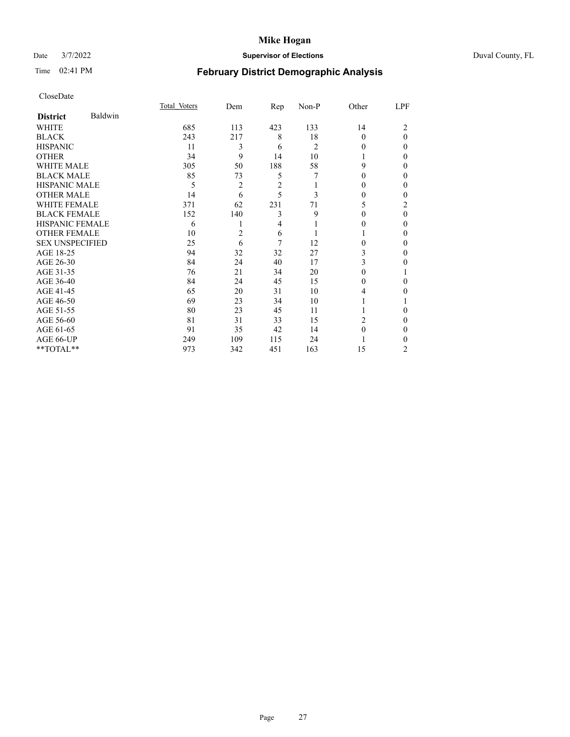# Date 3/7/2022 **Supervisor of Elections** Duval County, FL

# Time 02:41 PM **February District Demographic Analysis**

|                        |         | Total Voters | Dem | Rep            | Non-P          | Other    | LPF      |
|------------------------|---------|--------------|-----|----------------|----------------|----------|----------|
| <b>District</b>        | Baldwin |              |     |                |                |          |          |
| WHITE                  |         | 685          | 113 | 423            | 133            | 14       | 2        |
| <b>BLACK</b>           |         | 243          | 217 | 8              | 18             | $\Omega$ | $\theta$ |
| <b>HISPANIC</b>        |         | 11           | 3   | 6              | $\overline{c}$ | $_{0}$   | $\Omega$ |
| <b>OTHER</b>           |         | 34           | 9   | 14             | 10             |          | 0        |
| WHITE MALE             |         | 305          | 50  | 188            | 58             | 9        | 0        |
| <b>BLACK MALE</b>      |         | 85           | 73  | 5              | 7              | 0        | 0        |
| HISPANIC MALE          |         | 5            | 2   | $\overline{2}$ |                | 0        | 0        |
| <b>OTHER MALE</b>      |         | 14           | 6   | 5              | 3              | 0        | 0        |
| WHITE FEMALE           |         | 371          | 62  | 231            | 71             | 5        | 2        |
| <b>BLACK FEMALE</b>    |         | 152          | 140 | 3              | 9              | $\Omega$ | $\theta$ |
| <b>HISPANIC FEMALE</b> |         | 6            |     | 4              |                | 0        | 0        |
| <b>OTHER FEMALE</b>    |         | 10           | 2   | 6              |                |          | 0        |
| <b>SEX UNSPECIFIED</b> |         | 25           | 6   | 7              | 12             | 0        | 0        |
| AGE 18-25              |         | 94           | 32  | 32             | 27             | 3        | 0        |
| AGE 26-30              |         | 84           | 24  | 40             | 17             | 3        | 0        |
| AGE 31-35              |         | 76           | 21  | 34             | 20             | 0        |          |
| AGE 36-40              |         | 84           | 24  | 45             | 15             | 0        | 0        |
| AGE 41-45              |         | 65           | 20  | 31             | 10             | 4        | 0        |
| AGE 46-50              |         | 69           | 23  | 34             | 10             |          |          |
| AGE 51-55              |         | 80           | 23  | 45             | 11             |          | 0        |
| AGE 56-60              |         | 81           | 31  | 33             | 15             | 2        | 0        |
| AGE 61-65              |         | 91           | 35  | 42             | 14             | 0        | 0        |
| AGE 66-UP              |         | 249          | 109 | 115            | 24             |          | 0        |
| **TOTAL**              |         | 973          | 342 | 451            | 163            | 15       | 2        |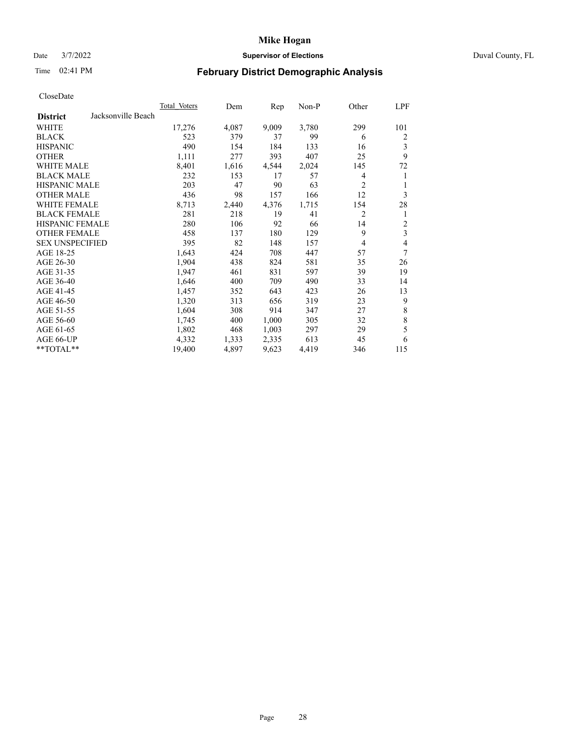# Date 3/7/2022 **Supervisor of Elections** Duval County, FL

# Time 02:41 PM **February District Demographic Analysis**

| <b>Total Voters</b> | Dem   | Rep   | $Non-P$ | Other          | LPF            |
|---------------------|-------|-------|---------|----------------|----------------|
|                     |       |       |         |                |                |
| 17,276              | 4,087 | 9,009 | 3,780   | 299            | 101            |
| 523                 | 379   | 37    | 99      | 6              | 2              |
| 490                 | 154   | 184   | 133     | 16             | 3              |
| 1,111               | 277   | 393   | 407     | 25             | 9              |
| 8,401               | 1,616 | 4,544 | 2,024   | 145            | 72             |
| 232                 | 153   | 17    | 57      | 4              | 1              |
| 203                 | 47    | 90    | 63      | $\overline{c}$ | 1              |
| 436                 | 98    | 157   | 166     | 12             | 3              |
| 8,713               | 2,440 | 4,376 | 1,715   | 154            | 28             |
| 281                 | 218   | 19    | 41      | $\overline{2}$ | 1              |
| 280                 | 106   | 92    | 66      | 14             | $\overline{c}$ |
| 458                 | 137   | 180   | 129     | 9              | 3              |
| 395                 | 82    | 148   | 157     | 4              | 4              |
| 1,643               | 424   | 708   | 447     | 57             | 7              |
| 1,904               | 438   | 824   | 581     | 35             | 26             |
| 1,947               | 461   | 831   | 597     | 39             | 19             |
| 1,646               | 400   | 709   | 490     | 33             | 14             |
| 1,457               | 352   | 643   | 423     | 26             | 13             |
| 1,320               | 313   | 656   | 319     | 23             | 9              |
| 1,604               | 308   | 914   | 347     | 27             | 8              |
| 1,745               | 400   | 1,000 | 305     | 32             | $\,$ 8 $\,$    |
| 1,802               | 468   | 1,003 | 297     | 29             | 5              |
| 4,332               | 1,333 | 2,335 | 613     | 45             | 6              |
| 19,400              | 4,897 | 9,623 | 4,419   | 346            | 115            |
|                     |       |       |         |                |                |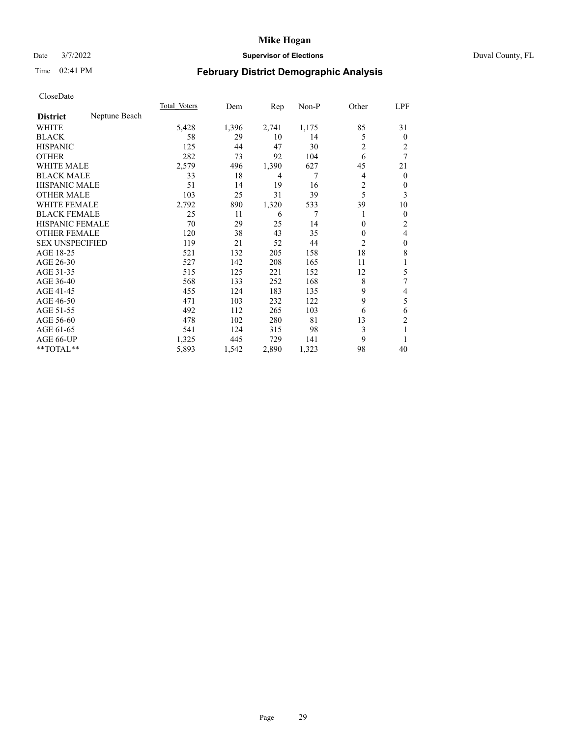# Date 3/7/2022 **Supervisor of Elections** Duval County, FL

# Time 02:41 PM **February District Demographic Analysis**

|                        |               | Total Voters | Dem   | Rep   | Non-P | Other          | LPF            |
|------------------------|---------------|--------------|-------|-------|-------|----------------|----------------|
| <b>District</b>        | Neptune Beach |              |       |       |       |                |                |
| WHITE                  |               | 5,428        | 1,396 | 2,741 | 1,175 | 85             | 31             |
| <b>BLACK</b>           |               | 58           | 29    | 10    | 14    | 5              | $\mathbf{0}$   |
| <b>HISPANIC</b>        |               | 125          | 44    | 47    | 30    | 2              | 2              |
| <b>OTHER</b>           |               | 282          | 73    | 92    | 104   | 6              | 7              |
| <b>WHITE MALE</b>      |               | 2,579        | 496   | 1,390 | 627   | 45             | 21             |
| <b>BLACK MALE</b>      |               | 33           | 18    | 4     | 7     | 4              | $\mathbf{0}$   |
| <b>HISPANIC MALE</b>   |               | 51           | 14    | 19    | 16    | 2              | 0              |
| <b>OTHER MALE</b>      |               | 103          | 25    | 31    | 39    | 5              | 3              |
| WHITE FEMALE           |               | 2,792        | 890   | 1,320 | 533   | 39             | 10             |
| <b>BLACK FEMALE</b>    |               | 25           | 11    | 6     | 7     |                | $\overline{0}$ |
| <b>HISPANIC FEMALE</b> |               | 70           | 29    | 25    | 14    | 0              | 2              |
| <b>OTHER FEMALE</b>    |               | 120          | 38    | 43    | 35    | $\Omega$       | 4              |
| <b>SEX UNSPECIFIED</b> |               | 119          | 21    | 52    | 44    | $\overline{2}$ | $\theta$       |
| AGE 18-25              |               | 521          | 132   | 205   | 158   | 18             | 8              |
| AGE 26-30              |               | 527          | 142   | 208   | 165   | 11             | 1              |
| AGE 31-35              |               | 515          | 125   | 221   | 152   | 12             | 5              |
| AGE 36-40              |               | 568          | 133   | 252   | 168   | 8              | 7              |
| AGE 41-45              |               | 455          | 124   | 183   | 135   | 9              | 4              |
| AGE 46-50              |               | 471          | 103   | 232   | 122   | 9              | 5              |
| AGE 51-55              |               | 492          | 112   | 265   | 103   | 6              | 6              |
| AGE 56-60              |               | 478          | 102   | 280   | 81    | 13             | $\overline{c}$ |
| AGE 61-65              |               | 541          | 124   | 315   | 98    | 3              | 1              |
| AGE 66-UP              |               | 1,325        | 445   | 729   | 141   | 9              |                |
| **TOTAL**              |               | 5,893        | 1,542 | 2,890 | 1,323 | 98             | 40             |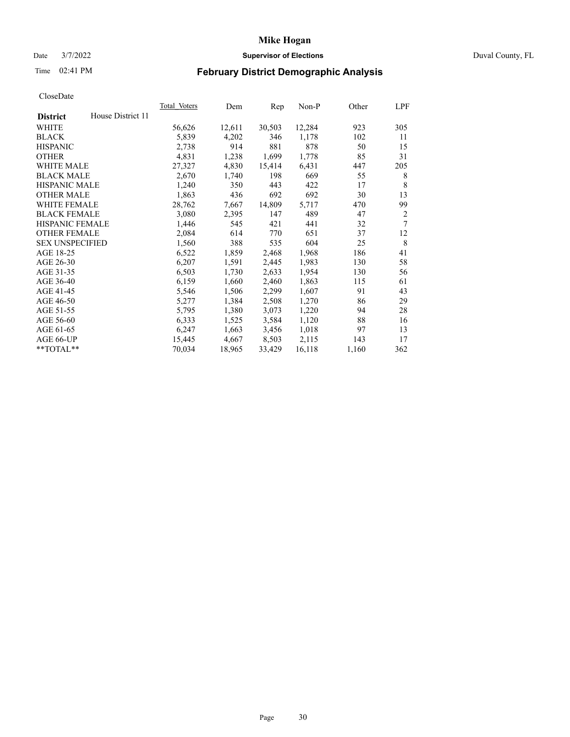# Date 3/7/2022 **Supervisor of Elections** Duval County, FL

# Time 02:41 PM **February District Demographic Analysis**

|                        |                   | Total Voters | Dem    | Rep    | Non-P  | Other | LPF            |
|------------------------|-------------------|--------------|--------|--------|--------|-------|----------------|
| <b>District</b>        | House District 11 |              |        |        |        |       |                |
| WHITE                  |                   | 56,626       | 12,611 | 30,503 | 12,284 | 923   | 305            |
| <b>BLACK</b>           |                   | 5,839        | 4,202  | 346    | 1,178  | 102   | 11             |
| <b>HISPANIC</b>        |                   | 2,738        | 914    | 881    | 878    | 50    | 15             |
| <b>OTHER</b>           |                   | 4,831        | 1,238  | 1,699  | 1,778  | 85    | 31             |
| <b>WHITE MALE</b>      |                   | 27,327       | 4,830  | 15,414 | 6,431  | 447   | 205            |
| <b>BLACK MALE</b>      |                   | 2,670        | 1,740  | 198    | 669    | 55    | 8              |
| <b>HISPANIC MALE</b>   |                   | 1,240        | 350    | 443    | 422    | 17    | 8              |
| <b>OTHER MALE</b>      |                   | 1,863        | 436    | 692    | 692    | 30    | 13             |
| WHITE FEMALE           |                   | 28,762       | 7,667  | 14,809 | 5,717  | 470   | 99             |
| <b>BLACK FEMALE</b>    |                   | 3,080        | 2,395  | 147    | 489    | 47    | $\overline{2}$ |
| <b>HISPANIC FEMALE</b> |                   | 1,446        | 545    | 421    | 441    | 32    | 7              |
| <b>OTHER FEMALE</b>    |                   | 2,084        | 614    | 770    | 651    | 37    | 12             |
| <b>SEX UNSPECIFIED</b> |                   | 1,560        | 388    | 535    | 604    | 25    | 8              |
| AGE 18-25              |                   | 6,522        | 1,859  | 2,468  | 1,968  | 186   | 41             |
| AGE 26-30              |                   | 6,207        | 1,591  | 2,445  | 1,983  | 130   | 58             |
| AGE 31-35              |                   | 6,503        | 1,730  | 2,633  | 1,954  | 130   | 56             |
| AGE 36-40              |                   | 6,159        | 1,660  | 2,460  | 1,863  | 115   | 61             |
| AGE 41-45              |                   | 5,546        | 1,506  | 2,299  | 1,607  | 91    | 43             |
| AGE 46-50              |                   | 5,277        | 1,384  | 2,508  | 1,270  | 86    | 29             |
| AGE 51-55              |                   | 5,795        | 1,380  | 3,073  | 1,220  | 94    | 28             |
| AGE 56-60              |                   | 6,333        | 1,525  | 3,584  | 1,120  | 88    | 16             |
| AGE 61-65              |                   | 6,247        | 1,663  | 3,456  | 1,018  | 97    | 13             |
| AGE 66-UP              |                   | 15,445       | 4,667  | 8,503  | 2,115  | 143   | 17             |
| $*$ TOTAL $*$          |                   | 70,034       | 18,965 | 33,429 | 16,118 | 1,160 | 362            |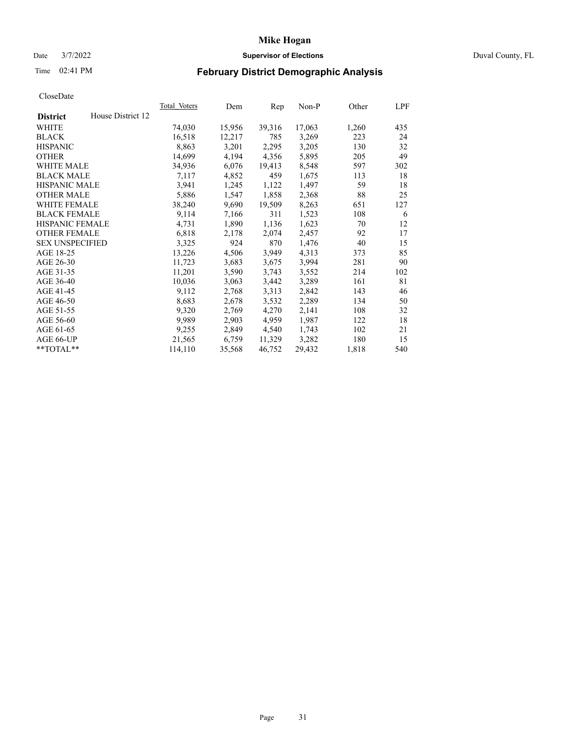# Date 3/7/2022 **Supervisor of Elections** Duval County, FL

# Time 02:41 PM **February District Demographic Analysis**

|                        |                   | Total Voters | Dem    | Rep    | Non-P  | Other | LPF |
|------------------------|-------------------|--------------|--------|--------|--------|-------|-----|
| <b>District</b>        | House District 12 |              |        |        |        |       |     |
| WHITE                  |                   | 74,030       | 15,956 | 39,316 | 17,063 | 1,260 | 435 |
| <b>BLACK</b>           |                   | 16,518       | 12,217 | 785    | 3,269  | 223   | 24  |
| <b>HISPANIC</b>        |                   | 8,863        | 3,201  | 2,295  | 3,205  | 130   | 32  |
| <b>OTHER</b>           |                   | 14,699       | 4,194  | 4,356  | 5,895  | 205   | 49  |
| <b>WHITE MALE</b>      |                   | 34,936       | 6,076  | 19,413 | 8,548  | 597   | 302 |
| <b>BLACK MALE</b>      |                   | 7,117        | 4,852  | 459    | 1,675  | 113   | 18  |
| <b>HISPANIC MALE</b>   |                   | 3,941        | 1,245  | 1,122  | 1,497  | 59    | 18  |
| <b>OTHER MALE</b>      |                   | 5,886        | 1,547  | 1,858  | 2,368  | 88    | 25  |
| WHITE FEMALE           |                   | 38,240       | 9,690  | 19,509 | 8,263  | 651   | 127 |
| <b>BLACK FEMALE</b>    |                   | 9,114        | 7,166  | 311    | 1,523  | 108   | 6   |
| <b>HISPANIC FEMALE</b> |                   | 4,731        | 1,890  | 1,136  | 1,623  | 70    | 12  |
| <b>OTHER FEMALE</b>    |                   | 6,818        | 2,178  | 2,074  | 2,457  | 92    | 17  |
| <b>SEX UNSPECIFIED</b> |                   | 3,325        | 924    | 870    | 1,476  | 40    | 15  |
| AGE 18-25              |                   | 13,226       | 4,506  | 3,949  | 4,313  | 373   | 85  |
| AGE 26-30              |                   | 11,723       | 3,683  | 3,675  | 3,994  | 281   | 90  |
| AGE 31-35              |                   | 11,201       | 3,590  | 3,743  | 3,552  | 214   | 102 |
| AGE 36-40              |                   | 10,036       | 3,063  | 3,442  | 3,289  | 161   | 81  |
| AGE 41-45              |                   | 9,112        | 2,768  | 3,313  | 2,842  | 143   | 46  |
| AGE 46-50              |                   | 8,683        | 2,678  | 3,532  | 2,289  | 134   | 50  |
| AGE 51-55              |                   | 9,320        | 2,769  | 4,270  | 2,141  | 108   | 32  |
| AGE 56-60              |                   | 9,989        | 2,903  | 4,959  | 1,987  | 122   | 18  |
| AGE 61-65              |                   | 9,255        | 2,849  | 4,540  | 1,743  | 102   | 21  |
| AGE 66-UP              |                   | 21,565       | 6,759  | 11,329 | 3,282  | 180   | 15  |
| $*$ TOTAL $*$          |                   | 114,110      | 35,568 | 46,752 | 29,432 | 1,818 | 540 |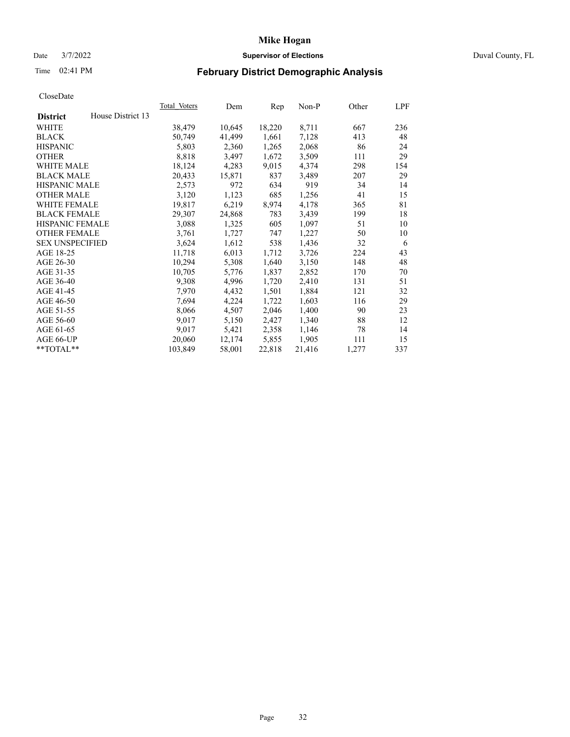# Date 3/7/2022 **Supervisor of Elections** Duval County, FL

# Time 02:41 PM **February District Demographic Analysis**

|                                      | <b>Total Voters</b> | Dem    | Rep    | $Non-P$ | Other | LPF |
|--------------------------------------|---------------------|--------|--------|---------|-------|-----|
| House District 13<br><b>District</b> |                     |        |        |         |       |     |
| WHITE                                | 38,479              | 10,645 | 18,220 | 8,711   | 667   | 236 |
| <b>BLACK</b>                         | 50.749              | 41,499 | 1,661  | 7,128   | 413   | 48  |
| <b>HISPANIC</b>                      | 5,803               | 2,360  | 1,265  | 2,068   | 86    | 24  |
| <b>OTHER</b>                         | 8,818               | 3,497  | 1,672  | 3,509   | 111   | 29  |
| <b>WHITE MALE</b>                    | 18,124              | 4,283  | 9,015  | 4,374   | 298   | 154 |
| <b>BLACK MALE</b>                    | 20,433              | 15,871 | 837    | 3,489   | 207   | 29  |
| <b>HISPANIC MALE</b>                 | 2,573               | 972    | 634    | 919     | 34    | 14  |
| <b>OTHER MALE</b>                    | 3,120               | 1,123  | 685    | 1,256   | 41    | 15  |
| WHITE FEMALE                         | 19,817              | 6,219  | 8,974  | 4,178   | 365   | 81  |
| <b>BLACK FEMALE</b>                  | 29,307              | 24,868 | 783    | 3,439   | 199   | 18  |
| HISPANIC FEMALE                      | 3,088               | 1,325  | 605    | 1,097   | 51    | 10  |
| <b>OTHER FEMALE</b>                  | 3,761               | 1,727  | 747    | 1,227   | 50    | 10  |
| <b>SEX UNSPECIFIED</b>               | 3,624               | 1,612  | 538    | 1,436   | 32    | 6   |
| AGE 18-25                            | 11,718              | 6,013  | 1,712  | 3,726   | 224   | 43  |
| AGE 26-30                            | 10,294              | 5,308  | 1,640  | 3,150   | 148   | 48  |
| AGE 31-35                            | 10,705              | 5,776  | 1,837  | 2,852   | 170   | 70  |
| AGE 36-40                            | 9,308               | 4,996  | 1,720  | 2,410   | 131   | 51  |
| AGE 41-45                            | 7,970               | 4,432  | 1,501  | 1,884   | 121   | 32  |
| AGE 46-50                            | 7,694               | 4,224  | 1,722  | 1,603   | 116   | 29  |
| AGE 51-55                            | 8,066               | 4,507  | 2,046  | 1,400   | 90    | 23  |
| AGE 56-60                            | 9,017               | 5,150  | 2,427  | 1,340   | 88    | 12  |
| AGE 61-65                            | 9,017               | 5,421  | 2,358  | 1,146   | 78    | 14  |
| AGE 66-UP                            | 20,060              | 12,174 | 5,855  | 1,905   | 111   | 15  |
| **TOTAL**                            | 103,849             | 58,001 | 22,818 | 21,416  | 1,277 | 337 |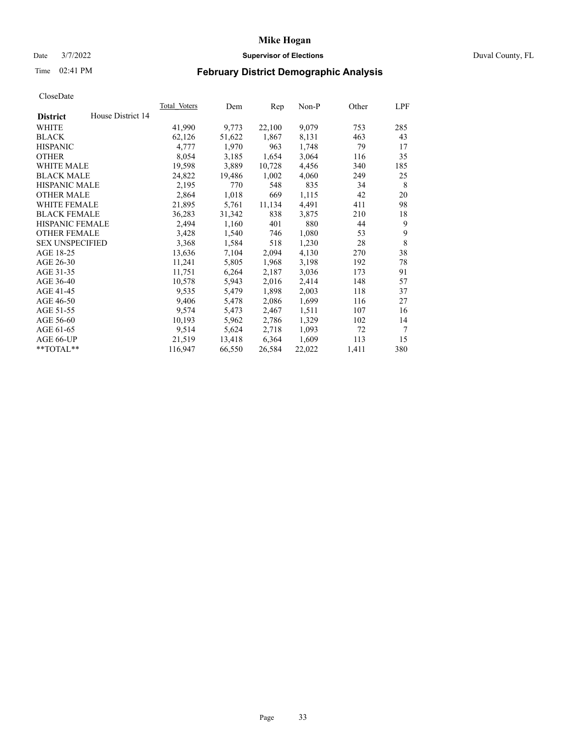# Date 3/7/2022 **Supervisor of Elections** Duval County, FL

# Time 02:41 PM **February District Demographic Analysis**

| <b>Total Voters</b> | Dem    | Rep    | $Non-P$ | Other | LPF |
|---------------------|--------|--------|---------|-------|-----|
|                     |        |        |         |       |     |
| 41,990              | 9,773  | 22,100 | 9,079   | 753   | 285 |
| 62,126              | 51,622 | 1,867  | 8,131   | 463   | 43  |
| 4,777               | 1,970  | 963    | 1,748   | 79    | 17  |
| 8,054               | 3,185  | 1,654  | 3,064   | 116   | 35  |
| 19,598              | 3,889  | 10,728 | 4,456   | 340   | 185 |
| 24,822              | 19,486 | 1,002  | 4,060   | 249   | 25  |
| 2,195               | 770    | 548    | 835     | 34    | 8   |
| 2,864               | 1,018  | 669    | 1,115   | 42    | 20  |
| 21,895              | 5,761  | 11,134 | 4,491   | 411   | 98  |
| 36,283              | 31,342 | 838    | 3,875   | 210   | 18  |
| 2,494               | 1,160  | 401    | 880     | 44    | 9   |
| 3,428               | 1,540  | 746    | 1,080   | 53    | 9   |
| 3,368               | 1,584  | 518    | 1,230   | 28    | 8   |
| 13,636              | 7,104  | 2,094  | 4,130   | 270   | 38  |
| 11,241              | 5,805  | 1,968  | 3,198   | 192   | 78  |
| 11,751              | 6,264  | 2,187  | 3,036   | 173   | 91  |
| 10,578              | 5,943  | 2,016  | 2,414   | 148   | 57  |
| 9,535               | 5,479  | 1,898  | 2,003   | 118   | 37  |
| 9,406               | 5,478  | 2,086  | 1,699   | 116   | 27  |
| 9,574               | 5,473  | 2,467  | 1,511   | 107   | 16  |
| 10,193              | 5,962  | 2,786  | 1,329   | 102   | 14  |
| 9,514               | 5,624  | 2,718  | 1,093   | 72    | 7   |
| 21,519              | 13,418 | 6,364  | 1,609   | 113   | 15  |
| 116,947             | 66,550 | 26,584 | 22,022  | 1,411 | 380 |
|                     |        |        |         |       |     |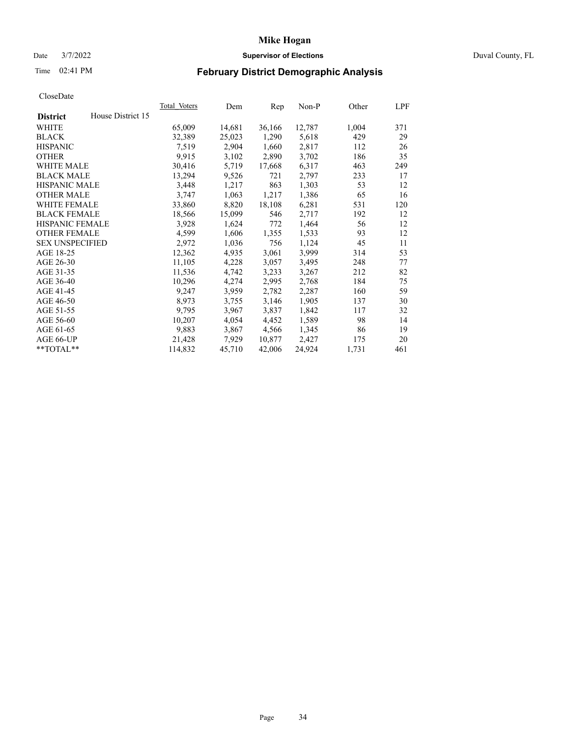# Date 3/7/2022 **Supervisor of Elections** Duval County, FL

# Time 02:41 PM **February District Demographic Analysis**

| <b>Total Voters</b> | Dem    | Rep    | $Non-P$ | Other | LPF |
|---------------------|--------|--------|---------|-------|-----|
|                     |        |        |         |       |     |
| 65,009              | 14,681 | 36,166 | 12,787  | 1,004 | 371 |
| 32,389              | 25,023 | 1,290  | 5,618   | 429   | 29  |
| 7,519               | 2,904  | 1,660  | 2,817   | 112   | 26  |
| 9,915               | 3,102  | 2,890  | 3,702   | 186   | 35  |
| 30,416              | 5,719  | 17,668 | 6,317   | 463   | 249 |
| 13,294              | 9,526  | 721    | 2,797   | 233   | 17  |
| 3,448               | 1,217  | 863    | 1,303   | 53    | 12  |
| 3,747               | 1,063  | 1,217  | 1,386   | 65    | 16  |
| 33,860              | 8,820  | 18,108 | 6,281   | 531   | 120 |
| 18,566              | 15,099 | 546    | 2,717   | 192   | 12  |
| 3,928               | 1,624  | 772    | 1,464   | 56    | 12  |
| 4,599               | 1,606  | 1,355  | 1,533   | 93    | 12  |
| 2,972               | 1,036  | 756    | 1,124   | 45    | 11  |
| 12,362              | 4,935  | 3,061  | 3,999   | 314   | 53  |
| 11,105              | 4,228  | 3,057  | 3,495   | 248   | 77  |
| 11,536              | 4,742  | 3,233  | 3,267   | 212   | 82  |
| 10,296              | 4,274  | 2,995  | 2,768   | 184   | 75  |
| 9,247               | 3,959  | 2,782  | 2,287   | 160   | 59  |
| 8,973               | 3,755  | 3,146  | 1,905   | 137   | 30  |
| 9,795               | 3,967  | 3,837  | 1,842   | 117   | 32  |
| 10,207              | 4,054  | 4,452  | 1,589   | 98    | 14  |
| 9,883               | 3,867  | 4,566  | 1,345   | 86    | 19  |
| 21,428              | 7,929  | 10,877 | 2,427   | 175   | 20  |
| 114,832             | 45,710 | 42,006 | 24,924  | 1,731 | 461 |
|                     |        |        |         |       |     |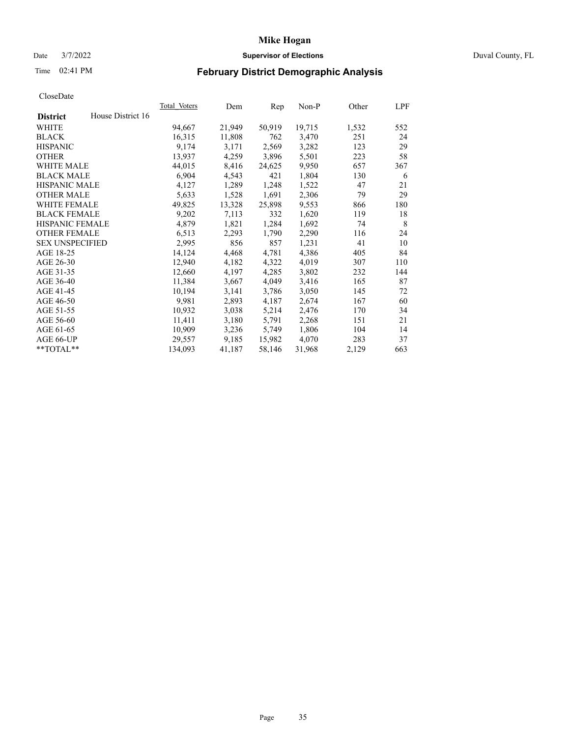# Date 3/7/2022 **Supervisor of Elections** Duval County, FL

# Time 02:41 PM **February District Demographic Analysis**

|                        |                   | <b>Total Voters</b> | Dem    | Rep    | $Non-P$ | Other | LPF |
|------------------------|-------------------|---------------------|--------|--------|---------|-------|-----|
| <b>District</b>        | House District 16 |                     |        |        |         |       |     |
| WHITE                  |                   | 94,667              | 21,949 | 50,919 | 19,715  | 1,532 | 552 |
| <b>BLACK</b>           |                   | 16,315              | 11,808 | 762    | 3,470   | 251   | 24  |
| <b>HISPANIC</b>        |                   | 9.174               | 3,171  | 2,569  | 3,282   | 123   | 29  |
| <b>OTHER</b>           |                   | 13,937              | 4,259  | 3,896  | 5,501   | 223   | 58  |
| <b>WHITE MALE</b>      |                   | 44,015              | 8,416  | 24,625 | 9,950   | 657   | 367 |
| <b>BLACK MALE</b>      |                   | 6,904               | 4,543  | 421    | 1,804   | 130   | 6   |
| <b>HISPANIC MALE</b>   |                   | 4,127               | 1,289  | 1,248  | 1,522   | 47    | 21  |
| <b>OTHER MALE</b>      |                   | 5,633               | 1,528  | 1,691  | 2,306   | 79    | 29  |
| WHITE FEMALE           |                   | 49,825              | 13,328 | 25,898 | 9,553   | 866   | 180 |
| <b>BLACK FEMALE</b>    |                   | 9,202               | 7,113  | 332    | 1,620   | 119   | 18  |
| HISPANIC FEMALE        |                   | 4,879               | 1,821  | 1,284  | 1,692   | 74    | 8   |
| <b>OTHER FEMALE</b>    |                   | 6,513               | 2,293  | 1,790  | 2,290   | 116   | 24  |
| <b>SEX UNSPECIFIED</b> |                   | 2,995               | 856    | 857    | 1,231   | 41    | 10  |
| AGE 18-25              |                   | 14,124              | 4,468  | 4,781  | 4,386   | 405   | 84  |
| AGE 26-30              |                   | 12,940              | 4,182  | 4,322  | 4,019   | 307   | 110 |
| AGE 31-35              |                   | 12,660              | 4,197  | 4,285  | 3,802   | 232   | 144 |
| AGE 36-40              |                   | 11,384              | 3,667  | 4,049  | 3,416   | 165   | 87  |
| AGE 41-45              |                   | 10,194              | 3,141  | 3,786  | 3,050   | 145   | 72  |
| AGE 46-50              |                   | 9,981               | 2,893  | 4,187  | 2,674   | 167   | 60  |
| AGE 51-55              |                   | 10,932              | 3,038  | 5,214  | 2,476   | 170   | 34  |
| AGE 56-60              |                   | 11,411              | 3,180  | 5,791  | 2,268   | 151   | 21  |
| AGE 61-65              |                   | 10,909              | 3,236  | 5,749  | 1,806   | 104   | 14  |
| AGE 66-UP              |                   | 29,557              | 9,185  | 15,982 | 4,070   | 283   | 37  |
| **TOTAL**              |                   | 134,093             | 41,187 | 58,146 | 31,968  | 2,129 | 663 |
|                        |                   |                     |        |        |         |       |     |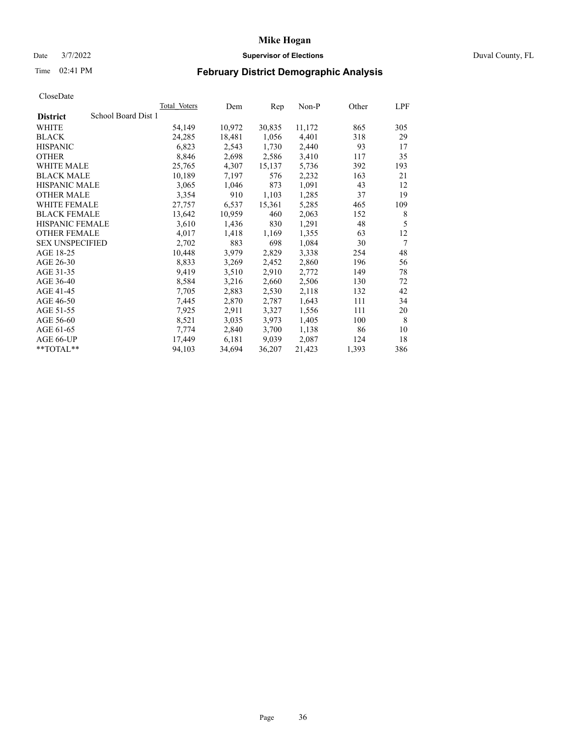# Date 3/7/2022 **Supervisor of Elections** Duval County, FL

# Time 02:41 PM **February District Demographic Analysis**

|                                        | Total Voters | Dem    | Rep    | Non-P  | Other | LPF |
|----------------------------------------|--------------|--------|--------|--------|-------|-----|
| School Board Dist 1<br><b>District</b> |              |        |        |        |       |     |
| WHITE                                  | 54,149       | 10,972 | 30,835 | 11,172 | 865   | 305 |
| <b>BLACK</b>                           | 24,285       | 18,481 | 1,056  | 4,401  | 318   | 29  |
| <b>HISPANIC</b>                        | 6,823        | 2,543  | 1,730  | 2,440  | 93    | 17  |
| <b>OTHER</b>                           | 8,846        | 2,698  | 2,586  | 3,410  | 117   | 35  |
| <b>WHITE MALE</b>                      | 25,765       | 4,307  | 15,137 | 5,736  | 392   | 193 |
| <b>BLACK MALE</b>                      | 10,189       | 7,197  | 576    | 2,232  | 163   | 21  |
| <b>HISPANIC MALE</b>                   | 3,065        | 1,046  | 873    | 1,091  | 43    | 12  |
| <b>OTHER MALE</b>                      | 3,354        | 910    | 1,103  | 1,285  | 37    | 19  |
| <b>WHITE FEMALE</b>                    | 27,757       | 6,537  | 15,361 | 5,285  | 465   | 109 |
| <b>BLACK FEMALE</b>                    | 13,642       | 10,959 | 460    | 2,063  | 152   | 8   |
| <b>HISPANIC FEMALE</b>                 | 3,610        | 1,436  | 830    | 1,291  | 48    | 5   |
| <b>OTHER FEMALE</b>                    | 4,017        | 1,418  | 1,169  | 1,355  | 63    | 12  |
| <b>SEX UNSPECIFIED</b>                 | 2,702        | 883    | 698    | 1,084  | 30    | 7   |
| AGE 18-25                              | 10,448       | 3,979  | 2,829  | 3,338  | 254   | 48  |
| AGE 26-30                              | 8,833        | 3,269  | 2,452  | 2,860  | 196   | 56  |
| AGE 31-35                              | 9,419        | 3,510  | 2,910  | 2,772  | 149   | 78  |
| AGE 36-40                              | 8,584        | 3,216  | 2,660  | 2,506  | 130   | 72  |
| AGE 41-45                              | 7,705        | 2,883  | 2,530  | 2,118  | 132   | 42  |
| AGE 46-50                              | 7,445        | 2,870  | 2,787  | 1,643  | 111   | 34  |
| AGE 51-55                              | 7,925        | 2,911  | 3,327  | 1,556  | 111   | 20  |
| AGE 56-60                              | 8,521        | 3,035  | 3,973  | 1,405  | 100   | 8   |
| AGE 61-65                              | 7,774        | 2,840  | 3,700  | 1,138  | 86    | 10  |
| AGE 66-UP                              | 17,449       | 6,181  | 9,039  | 2,087  | 124   | 18  |
| $*$ TOTAL $*$                          | 94,103       | 34,694 | 36,207 | 21,423 | 1,393 | 386 |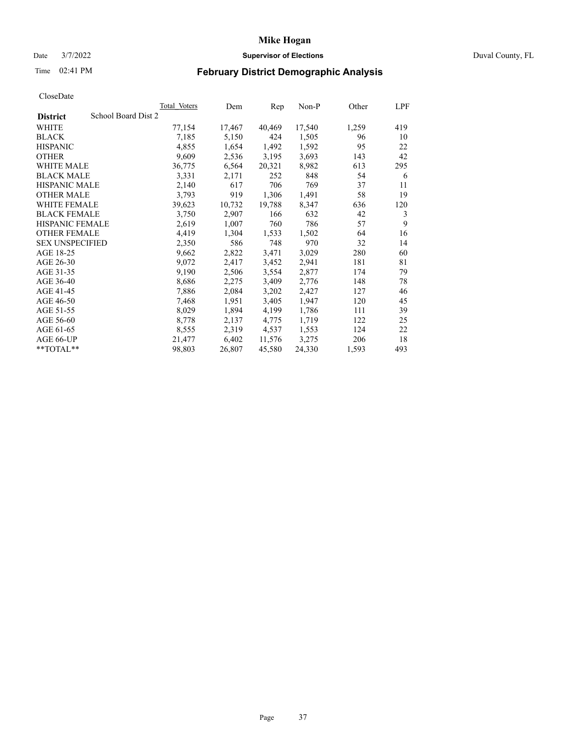# Date 3/7/2022 **Supervisor of Elections** Duval County, FL

# Time 02:41 PM **February District Demographic Analysis**

|                                        | <b>Total Voters</b> | Dem    | Rep    | Non-P  | Other | LPF |
|----------------------------------------|---------------------|--------|--------|--------|-------|-----|
| School Board Dist 2<br><b>District</b> |                     |        |        |        |       |     |
| WHITE                                  | 77,154              | 17,467 | 40,469 | 17,540 | 1,259 | 419 |
| <b>BLACK</b>                           | 7,185               | 5,150  | 424    | 1,505  | 96    | 10  |
| <b>HISPANIC</b>                        | 4,855               | 1,654  | 1,492  | 1,592  | 95    | 22  |
| <b>OTHER</b>                           | 9,609               | 2,536  | 3,195  | 3,693  | 143   | 42  |
| <b>WHITE MALE</b>                      | 36,775              | 6,564  | 20,321 | 8,982  | 613   | 295 |
| <b>BLACK MALE</b>                      | 3,331               | 2,171  | 252    | 848    | 54    | 6   |
| <b>HISPANIC MALE</b>                   | 2,140               | 617    | 706    | 769    | 37    | 11  |
| <b>OTHER MALE</b>                      | 3,793               | 919    | 1,306  | 1,491  | 58    | 19  |
| <b>WHITE FEMALE</b>                    | 39,623              | 10,732 | 19,788 | 8,347  | 636   | 120 |
| <b>BLACK FEMALE</b>                    | 3,750               | 2,907  | 166    | 632    | 42    | 3   |
| HISPANIC FEMALE                        | 2,619               | 1,007  | 760    | 786    | 57    | 9   |
| <b>OTHER FEMALE</b>                    | 4,419               | 1,304  | 1,533  | 1,502  | 64    | 16  |
| <b>SEX UNSPECIFIED</b>                 | 2,350               | 586    | 748    | 970    | 32    | 14  |
| AGE 18-25                              | 9,662               | 2,822  | 3,471  | 3,029  | 280   | 60  |
| AGE 26-30                              | 9,072               | 2,417  | 3,452  | 2,941  | 181   | 81  |
| AGE 31-35                              | 9,190               | 2,506  | 3,554  | 2,877  | 174   | 79  |
| AGE 36-40                              | 8,686               | 2,275  | 3,409  | 2,776  | 148   | 78  |
| AGE 41-45                              | 7,886               | 2,084  | 3,202  | 2,427  | 127   | 46  |
| AGE 46-50                              | 7,468               | 1,951  | 3,405  | 1,947  | 120   | 45  |
| AGE 51-55                              | 8,029               | 1,894  | 4,199  | 1,786  | 111   | 39  |
| AGE 56-60                              | 8,778               | 2,137  | 4,775  | 1,719  | 122   | 25  |
| AGE 61-65                              | 8,555               | 2,319  | 4,537  | 1,553  | 124   | 22  |
| AGE 66-UP                              | 21,477              | 6,402  | 11,576 | 3,275  | 206   | 18  |
| $*$ TOTAL $*$                          | 98,803              | 26,807 | 45,580 | 24,330 | 1,593 | 493 |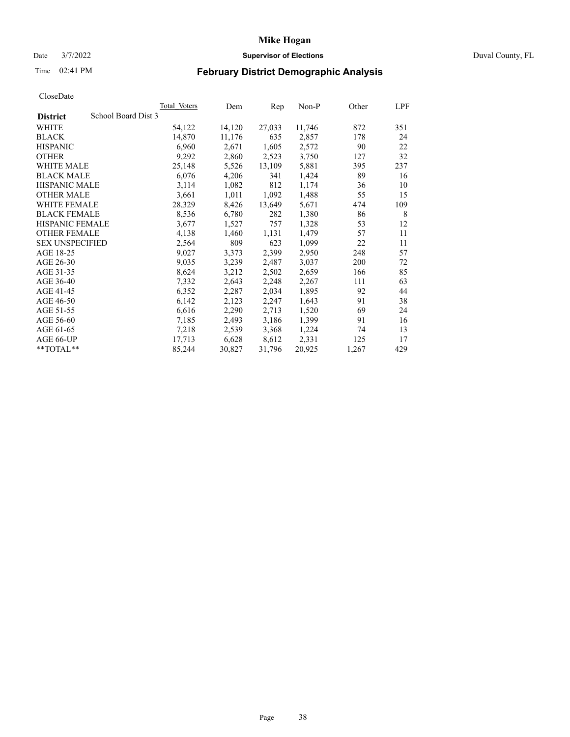# Date 3/7/2022 **Supervisor of Elections** Duval County, FL

# Time 02:41 PM **February District Demographic Analysis**

|                                        | <b>Total Voters</b> | Dem    | Rep    | Non-P  | Other | LPF |
|----------------------------------------|---------------------|--------|--------|--------|-------|-----|
| School Board Dist 3<br><b>District</b> |                     |        |        |        |       |     |
| WHITE                                  | 54,122              | 14,120 | 27,033 | 11,746 | 872   | 351 |
| <b>BLACK</b>                           | 14,870              | 11,176 | 635    | 2,857  | 178   | 24  |
| <b>HISPANIC</b>                        | 6,960               | 2,671  | 1,605  | 2,572  | 90    | 22  |
| <b>OTHER</b>                           | 9,292               | 2,860  | 2,523  | 3,750  | 127   | 32  |
| <b>WHITE MALE</b>                      | 25,148              | 5,526  | 13,109 | 5,881  | 395   | 237 |
| <b>BLACK MALE</b>                      | 6,076               | 4,206  | 341    | 1,424  | 89    | 16  |
| <b>HISPANIC MALE</b>                   | 3,114               | 1,082  | 812    | 1,174  | 36    | 10  |
| <b>OTHER MALE</b>                      | 3,661               | 1,011  | 1,092  | 1,488  | 55    | 15  |
| WHITE FEMALE                           | 28,329              | 8,426  | 13,649 | 5,671  | 474   | 109 |
| <b>BLACK FEMALE</b>                    | 8,536               | 6,780  | 282    | 1,380  | 86    | 8   |
| HISPANIC FEMALE                        | 3,677               | 1,527  | 757    | 1,328  | 53    | 12  |
| <b>OTHER FEMALE</b>                    | 4,138               | 1,460  | 1,131  | 1,479  | 57    | 11  |
| <b>SEX UNSPECIFIED</b>                 | 2,564               | 809    | 623    | 1,099  | 22    | 11  |
| AGE 18-25                              | 9,027               | 3,373  | 2,399  | 2,950  | 248   | 57  |
| AGE 26-30                              | 9,035               | 3,239  | 2,487  | 3,037  | 200   | 72  |
| AGE 31-35                              | 8,624               | 3,212  | 2,502  | 2,659  | 166   | 85  |
| AGE 36-40                              | 7,332               | 2,643  | 2,248  | 2,267  | 111   | 63  |
| AGE 41-45                              | 6,352               | 2,287  | 2,034  | 1,895  | 92    | 44  |
| AGE 46-50                              | 6,142               | 2,123  | 2,247  | 1,643  | 91    | 38  |
| AGE 51-55                              | 6,616               | 2,290  | 2,713  | 1,520  | 69    | 24  |
| AGE 56-60                              | 7,185               | 2,493  | 3,186  | 1,399  | 91    | 16  |
| AGE 61-65                              | 7,218               | 2,539  | 3,368  | 1,224  | 74    | 13  |
| AGE 66-UP                              | 17,713              | 6,628  | 8,612  | 2,331  | 125   | 17  |
| **TOTAL**                              | 85,244              | 30,827 | 31,796 | 20,925 | 1,267 | 429 |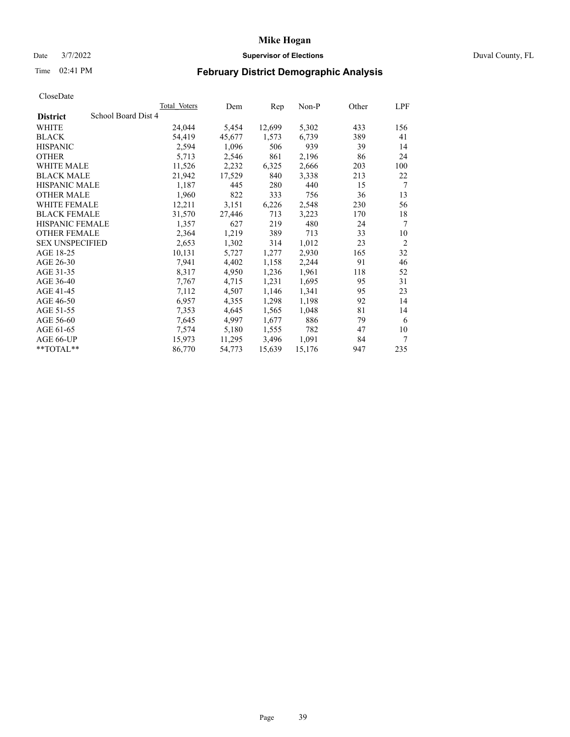# Date 3/7/2022 **Supervisor of Elections** Duval County, FL

# Time 02:41 PM **February District Demographic Analysis**

| <b>Total Voters</b> | Dem                 | Rep    | Non-P  | Other | LPF            |
|---------------------|---------------------|--------|--------|-------|----------------|
|                     |                     |        |        |       |                |
| 24,044              | 5,454               | 12,699 | 5,302  | 433   | 156            |
| 54,419              | 45,677              | 1,573  | 6,739  | 389   | 41             |
| 2,594               | 1,096               | 506    | 939    | 39    | 14             |
| 5,713               | 2,546               | 861    | 2,196  | 86    | 24             |
| 11,526              | 2,232               | 6,325  | 2,666  | 203   | 100            |
| 21,942              | 17,529              | 840    | 3,338  | 213   | 22             |
| 1,187               | 445                 | 280    | 440    | 15    | 7              |
| 1,960               | 822                 | 333    | 756    | 36    | 13             |
| 12,211              | 3,151               | 6,226  | 2,548  | 230   | 56             |
| 31,570              | 27,446              | 713    | 3,223  | 170   | 18             |
| 1,357               | 627                 | 219    | 480    | 24    | 7              |
| 2,364               | 1,219               | 389    | 713    | 33    | 10             |
| 2,653               | 1,302               | 314    | 1,012  | 23    | $\overline{2}$ |
| 10,131              | 5,727               | 1,277  | 2,930  | 165   | 32             |
| 7,941               | 4,402               | 1,158  | 2,244  | 91    | 46             |
| 8,317               | 4,950               | 1,236  | 1,961  | 118   | 52             |
| 7,767               | 4,715               | 1,231  | 1,695  | 95    | 31             |
| 7,112               | 4,507               | 1,146  | 1,341  | 95    | 23             |
| 6,957               | 4,355               | 1,298  | 1,198  | 92    | 14             |
| 7,353               | 4,645               | 1,565  | 1,048  | 81    | 14             |
| 7,645               | 4,997               | 1,677  | 886    | 79    | 6              |
| 7,574               | 5,180               | 1,555  | 782    | 47    | 10             |
| 15,973              | 11,295              | 3,496  | 1,091  | 84    | 7              |
| 86,770              | 54,773              | 15,639 | 15,176 | 947   | 235            |
|                     | School Board Dist 4 |        |        |       |                |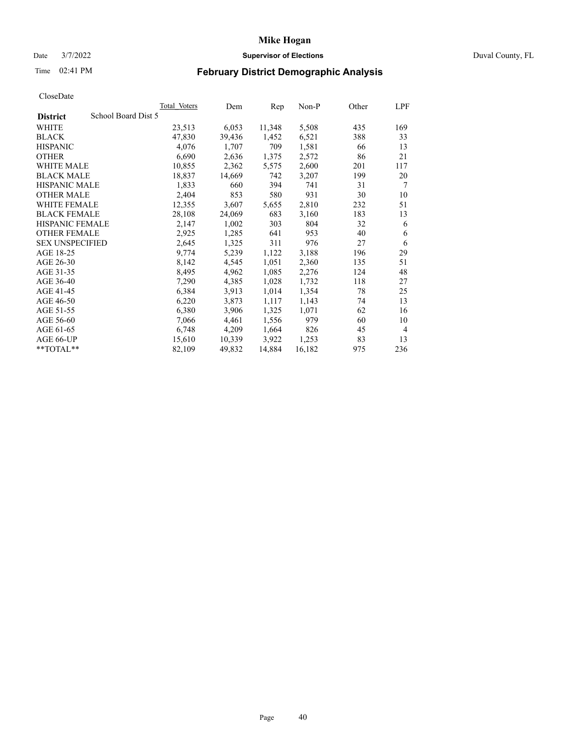# Date 3/7/2022 **Supervisor of Elections** Duval County, FL

# Time 02:41 PM **February District Demographic Analysis**

|                                        | Total Voters | Dem    | Rep    | Non-P  | Other | LPF |
|----------------------------------------|--------------|--------|--------|--------|-------|-----|
| School Board Dist 5<br><b>District</b> |              |        |        |        |       |     |
| WHITE                                  | 23,513       | 6,053  | 11,348 | 5,508  | 435   | 169 |
| <b>BLACK</b>                           | 47,830       | 39,436 | 1,452  | 6,521  | 388   | 33  |
| <b>HISPANIC</b>                        | 4,076        | 1,707  | 709    | 1,581  | 66    | 13  |
| <b>OTHER</b>                           | 6,690        | 2,636  | 1,375  | 2,572  | 86    | 21  |
| <b>WHITE MALE</b>                      | 10,855       | 2,362  | 5,575  | 2,600  | 201   | 117 |
| <b>BLACK MALE</b>                      | 18,837       | 14,669 | 742    | 3,207  | 199   | 20  |
| <b>HISPANIC MALE</b>                   | 1,833        | 660    | 394    | 741    | 31    | 7   |
| <b>OTHER MALE</b>                      | 2,404        | 853    | 580    | 931    | 30    | 10  |
| WHITE FEMALE                           | 12,355       | 3,607  | 5,655  | 2,810  | 232   | 51  |
| <b>BLACK FEMALE</b>                    | 28,108       | 24,069 | 683    | 3,160  | 183   | 13  |
| HISPANIC FEMALE                        | 2,147        | 1,002  | 303    | 804    | 32    | 6   |
| <b>OTHER FEMALE</b>                    | 2,925        | 1,285  | 641    | 953    | 40    | 6   |
| <b>SEX UNSPECIFIED</b>                 | 2,645        | 1,325  | 311    | 976    | 27    | 6   |
| AGE 18-25                              | 9,774        | 5,239  | 1,122  | 3,188  | 196   | 29  |
| AGE 26-30                              | 8,142        | 4,545  | 1,051  | 2,360  | 135   | 51  |
| AGE 31-35                              | 8,495        | 4,962  | 1,085  | 2,276  | 124   | 48  |
| AGE 36-40                              | 7,290        | 4,385  | 1,028  | 1,732  | 118   | 27  |
| AGE 41-45                              | 6,384        | 3,913  | 1,014  | 1,354  | 78    | 25  |
| AGE 46-50                              | 6,220        | 3,873  | 1,117  | 1,143  | 74    | 13  |
| AGE 51-55                              | 6,380        | 3,906  | 1,325  | 1,071  | 62    | 16  |
| AGE 56-60                              | 7,066        | 4,461  | 1,556  | 979    | 60    | 10  |
| AGE 61-65                              | 6,748        | 4,209  | 1,664  | 826    | 45    | 4   |
| AGE 66-UP                              | 15,610       | 10,339 | 3,922  | 1,253  | 83    | 13  |
| **TOTAL**                              | 82,109       | 49,832 | 14,884 | 16,182 | 975   | 236 |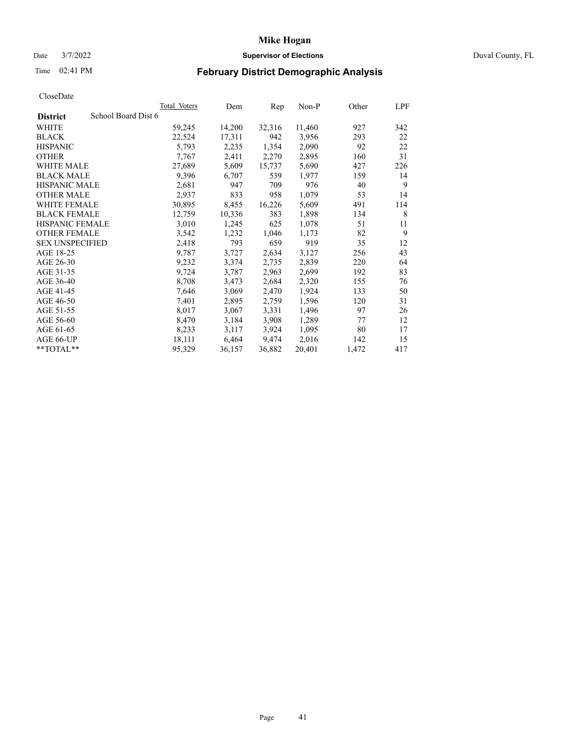# Date 3/7/2022 **Supervisor of Elections** Duval County, FL

# Time 02:41 PM **February District Demographic Analysis**

|                        |                     | <b>Total Voters</b> | Dem    | Rep    | $Non-P$ | Other | LPF |
|------------------------|---------------------|---------------------|--------|--------|---------|-------|-----|
| <b>District</b>        | School Board Dist 6 |                     |        |        |         |       |     |
| WHITE                  |                     | 59,245              | 14,200 | 32,316 | 11,460  | 927   | 342 |
| <b>BLACK</b>           |                     | 22,524              | 17,311 | 942    | 3,956   | 293   | 22  |
| <b>HISPANIC</b>        |                     | 5,793               | 2,235  | 1,354  | 2,090   | 92    | 22  |
| <b>OTHER</b>           |                     | 7,767               | 2,411  | 2,270  | 2,895   | 160   | 31  |
| WHITE MALE             |                     | 27,689              | 5,609  | 15,737 | 5,690   | 427   | 226 |
| <b>BLACK MALE</b>      |                     | 9,396               | 6,707  | 539    | 1,977   | 159   | 14  |
| <b>HISPANIC MALE</b>   |                     | 2,681               | 947    | 709    | 976     | 40    | 9   |
| <b>OTHER MALE</b>      |                     | 2,937               | 833    | 958    | 1,079   | 53    | 14  |
| WHITE FEMALE           |                     | 30,895              | 8,455  | 16,226 | 5,609   | 491   | 114 |
| <b>BLACK FEMALE</b>    |                     | 12,759              | 10,336 | 383    | 1,898   | 134   | 8   |
| HISPANIC FEMALE        |                     | 3,010               | 1,245  | 625    | 1,078   | 51    | 11  |
| <b>OTHER FEMALE</b>    |                     | 3,542               | 1,232  | 1,046  | 1,173   | 82    | 9   |
| <b>SEX UNSPECIFIED</b> |                     | 2,418               | 793    | 659    | 919     | 35    | 12  |
| AGE 18-25              |                     | 9,787               | 3,727  | 2,634  | 3,127   | 256   | 43  |
| AGE 26-30              |                     | 9,232               | 3,374  | 2,735  | 2,839   | 220   | 64  |
| AGE 31-35              |                     | 9,724               | 3,787  | 2,963  | 2,699   | 192   | 83  |
| AGE 36-40              |                     | 8,708               | 3,473  | 2,684  | 2,320   | 155   | 76  |
| AGE 41-45              |                     | 7,646               | 3,069  | 2,470  | 1,924   | 133   | 50  |
| AGE 46-50              |                     | 7,401               | 2,895  | 2,759  | 1,596   | 120   | 31  |
| AGE 51-55              |                     | 8,017               | 3,067  | 3,331  | 1,496   | 97    | 26  |
| AGE 56-60              |                     | 8,470               | 3,184  | 3,908  | 1,289   | 77    | 12  |
| AGE 61-65              |                     | 8,233               | 3,117  | 3,924  | 1,095   | 80    | 17  |
| AGE 66-UP              |                     | 18,111              | 6,464  | 9,474  | 2,016   | 142   | 15  |
| **TOTAL**              |                     | 95,329              | 36,157 | 36,882 | 20,401  | 1,472 | 417 |
|                        |                     |                     |        |        |         |       |     |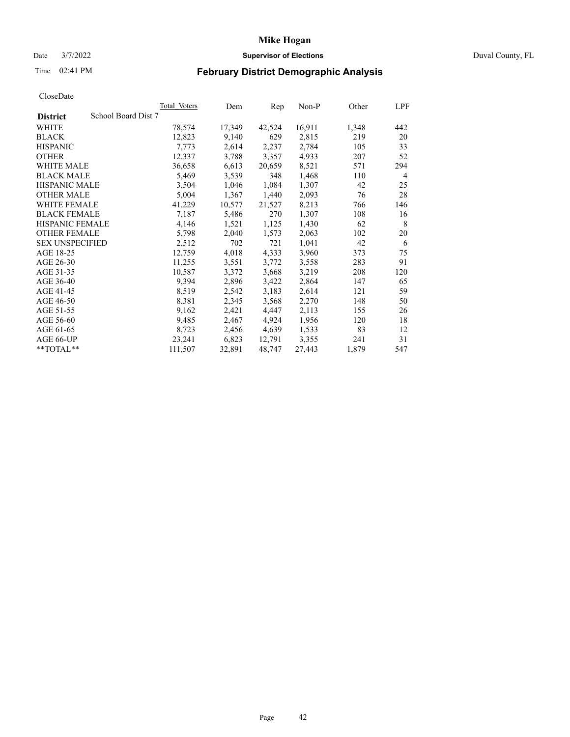# Date 3/7/2022 **Supervisor of Elections** Duval County, FL

# Time 02:41 PM **February District Demographic Analysis**

|                                        | <b>Total Voters</b> | Dem    | Rep    | $Non-P$ | Other | LPF |
|----------------------------------------|---------------------|--------|--------|---------|-------|-----|
| School Board Dist 7<br><b>District</b> |                     |        |        |         |       |     |
| WHITE                                  | 78,574              | 17,349 | 42,524 | 16,911  | 1,348 | 442 |
| <b>BLACK</b>                           | 12,823              | 9,140  | 629    | 2,815   | 219   | 20  |
| <b>HISPANIC</b>                        | 7.773               | 2,614  | 2,237  | 2,784   | 105   | 33  |
| <b>OTHER</b>                           | 12,337              | 3,788  | 3,357  | 4,933   | 207   | 52  |
| WHITE MALE                             | 36,658              | 6,613  | 20,659 | 8,521   | 571   | 294 |
| <b>BLACK MALE</b>                      | 5,469               | 3,539  | 348    | 1,468   | 110   | 4   |
| <b>HISPANIC MALE</b>                   | 3,504               | 1,046  | 1,084  | 1,307   | 42    | 25  |
| <b>OTHER MALE</b>                      | 5,004               | 1,367  | 1,440  | 2,093   | 76    | 28  |
| WHITE FEMALE                           | 41,229              | 10,577 | 21,527 | 8,213   | 766   | 146 |
| <b>BLACK FEMALE</b>                    | 7,187               | 5,486  | 270    | 1,307   | 108   | 16  |
| HISPANIC FEMALE                        | 4,146               | 1,521  | 1,125  | 1,430   | 62    | 8   |
| <b>OTHER FEMALE</b>                    | 5,798               | 2,040  | 1,573  | 2,063   | 102   | 20  |
| <b>SEX UNSPECIFIED</b>                 | 2,512               | 702    | 721    | 1,041   | 42    | 6   |
| AGE 18-25                              | 12,759              | 4,018  | 4,333  | 3,960   | 373   | 75  |
| AGE 26-30                              | 11,255              | 3,551  | 3,772  | 3,558   | 283   | 91  |
| AGE 31-35                              | 10,587              | 3,372  | 3,668  | 3,219   | 208   | 120 |
| AGE 36-40                              | 9,394               | 2,896  | 3,422  | 2,864   | 147   | 65  |
| AGE 41-45                              | 8,519               | 2,542  | 3,183  | 2,614   | 121   | 59  |
| AGE 46-50                              | 8,381               | 2,345  | 3,568  | 2,270   | 148   | 50  |
| AGE 51-55                              | 9,162               | 2,421  | 4,447  | 2,113   | 155   | 26  |
| AGE 56-60                              | 9,485               | 2,467  | 4,924  | 1,956   | 120   | 18  |
| AGE 61-65                              | 8,723               | 2,456  | 4,639  | 1,533   | 83    | 12  |
| AGE 66-UP                              | 23,241              | 6,823  | 12,791 | 3,355   | 241   | 31  |
| **TOTAL**                              | 111,507             | 32,891 | 48,747 | 27,443  | 1,879 | 547 |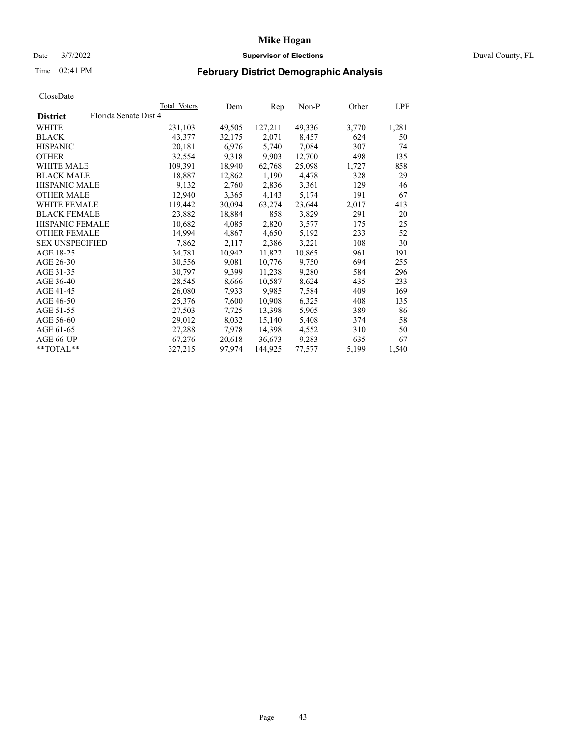# Date 3/7/2022 **Supervisor of Elections** Duval County, FL

# Time 02:41 PM **February District Demographic Analysis**

|                        | Total Voters          | Dem    | Rep     | Non-P  | Other | LPF   |
|------------------------|-----------------------|--------|---------|--------|-------|-------|
| <b>District</b>        | Florida Senate Dist 4 |        |         |        |       |       |
| WHITE                  | 231,103               | 49,505 | 127,211 | 49,336 | 3,770 | 1,281 |
| <b>BLACK</b>           | 43,377                | 32,175 | 2,071   | 8,457  | 624   | 50    |
| <b>HISPANIC</b>        | 20,181                | 6,976  | 5,740   | 7,084  | 307   | 74    |
| <b>OTHER</b>           | 32,554                | 9,318  | 9,903   | 12,700 | 498   | 135   |
| <b>WHITE MALE</b>      | 109,391               | 18,940 | 62,768  | 25,098 | 1,727 | 858   |
| <b>BLACK MALE</b>      | 18,887                | 12,862 | 1,190   | 4,478  | 328   | 29    |
| <b>HISPANIC MALE</b>   | 9,132                 | 2,760  | 2,836   | 3,361  | 129   | 46    |
| <b>OTHER MALE</b>      | 12.940                | 3,365  | 4,143   | 5,174  | 191   | 67    |
| <b>WHITE FEMALE</b>    | 119,442               | 30,094 | 63,274  | 23,644 | 2,017 | 413   |
| <b>BLACK FEMALE</b>    | 23,882                | 18,884 | 858     | 3,829  | 291   | 20    |
| <b>HISPANIC FEMALE</b> | 10,682                | 4,085  | 2,820   | 3,577  | 175   | 25    |
| <b>OTHER FEMALE</b>    | 14,994                | 4,867  | 4,650   | 5,192  | 233   | 52    |
| <b>SEX UNSPECIFIED</b> | 7,862                 | 2,117  | 2,386   | 3,221  | 108   | 30    |
| AGE 18-25              | 34,781                | 10,942 | 11,822  | 10,865 | 961   | 191   |
| AGE 26-30              | 30,556                | 9,081  | 10,776  | 9,750  | 694   | 255   |
| AGE 31-35              | 30,797                | 9,399  | 11,238  | 9,280  | 584   | 296   |
| AGE 36-40              | 28,545                | 8,666  | 10,587  | 8,624  | 435   | 233   |
| AGE 41-45              | 26,080                | 7,933  | 9,985   | 7,584  | 409   | 169   |
| AGE 46-50              | 25,376                | 7,600  | 10,908  | 6,325  | 408   | 135   |
| AGE 51-55              | 27,503                | 7,725  | 13,398  | 5,905  | 389   | 86    |
| AGE 56-60              | 29,012                | 8,032  | 15,140  | 5,408  | 374   | 58    |
| AGE 61-65              | 27,288                | 7,978  | 14,398  | 4,552  | 310   | 50    |
| AGE 66-UP              | 67,276                | 20,618 | 36,673  | 9,283  | 635   | 67    |
| $*$ TOTAL $*$          | 327,215               | 97,974 | 144,925 | 77,577 | 5,199 | 1,540 |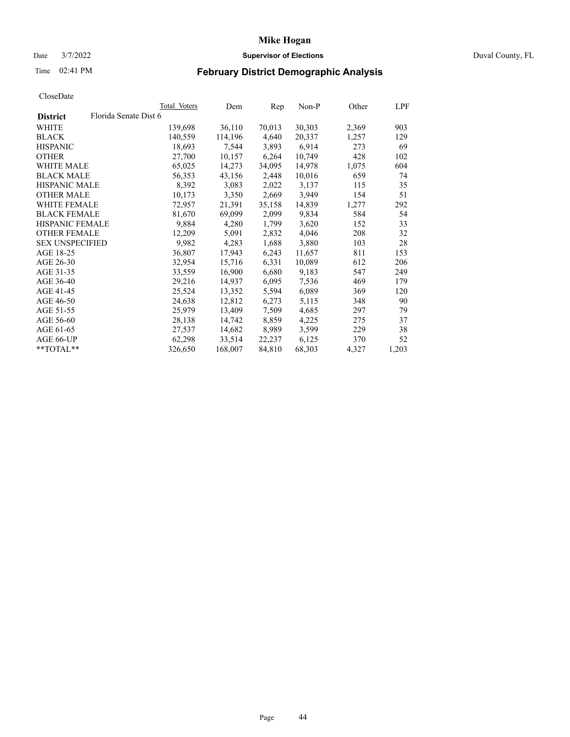# Date 3/7/2022 **Supervisor of Elections** Duval County, FL

# Time 02:41 PM **February District Demographic Analysis**

|                        |                       | Total Voters | Dem     | Rep    | Non-P  | Other | LPF   |
|------------------------|-----------------------|--------------|---------|--------|--------|-------|-------|
| <b>District</b>        | Florida Senate Dist 6 |              |         |        |        |       |       |
| WHITE                  |                       | 139,698      | 36,110  | 70,013 | 30,303 | 2,369 | 903   |
| <b>BLACK</b>           |                       | 140,559      | 114,196 | 4,640  | 20,337 | 1,257 | 129   |
| <b>HISPANIC</b>        |                       | 18,693       | 7,544   | 3,893  | 6,914  | 273   | 69    |
| <b>OTHER</b>           |                       | 27,700       | 10,157  | 6,264  | 10,749 | 428   | 102   |
| WHITE MALE             |                       | 65,025       | 14,273  | 34,095 | 14,978 | 1,075 | 604   |
| <b>BLACK MALE</b>      |                       | 56,353       | 43,156  | 2,448  | 10,016 | 659   | 74    |
| <b>HISPANIC MALE</b>   |                       | 8,392        | 3,083   | 2,022  | 3,137  | 115   | 35    |
| <b>OTHER MALE</b>      |                       | 10,173       | 3,350   | 2,669  | 3,949  | 154   | 51    |
| <b>WHITE FEMALE</b>    |                       | 72,957       | 21,391  | 35,158 | 14,839 | 1,277 | 292   |
| <b>BLACK FEMALE</b>    |                       | 81,670       | 69,099  | 2,099  | 9,834  | 584   | 54    |
| <b>HISPANIC FEMALE</b> |                       | 9,884        | 4,280   | 1,799  | 3,620  | 152   | 33    |
| <b>OTHER FEMALE</b>    |                       | 12,209       | 5,091   | 2,832  | 4,046  | 208   | 32    |
| <b>SEX UNSPECIFIED</b> |                       | 9,982        | 4,283   | 1,688  | 3,880  | 103   | 28    |
| AGE 18-25              |                       | 36,807       | 17,943  | 6,243  | 11,657 | 811   | 153   |
| AGE 26-30              |                       | 32,954       | 15,716  | 6,331  | 10,089 | 612   | 206   |
| AGE 31-35              |                       | 33,559       | 16,900  | 6,680  | 9,183  | 547   | 249   |
| AGE 36-40              |                       | 29,216       | 14,937  | 6,095  | 7,536  | 469   | 179   |
| AGE 41-45              |                       | 25,524       | 13,352  | 5,594  | 6,089  | 369   | 120   |
| AGE 46-50              |                       | 24,638       | 12,812  | 6,273  | 5,115  | 348   | 90    |
| AGE 51-55              |                       | 25,979       | 13,409  | 7,509  | 4,685  | 297   | 79    |
| AGE 56-60              |                       | 28,138       | 14,742  | 8,859  | 4,225  | 275   | 37    |
| AGE 61-65              |                       | 27,537       | 14,682  | 8,989  | 3,599  | 229   | 38    |
| AGE 66-UP              |                       | 62,298       | 33,514  | 22,237 | 6,125  | 370   | 52    |
| $*$ TOTAL $*$          |                       | 326,650      | 168,007 | 84,810 | 68,303 | 4,327 | 1,203 |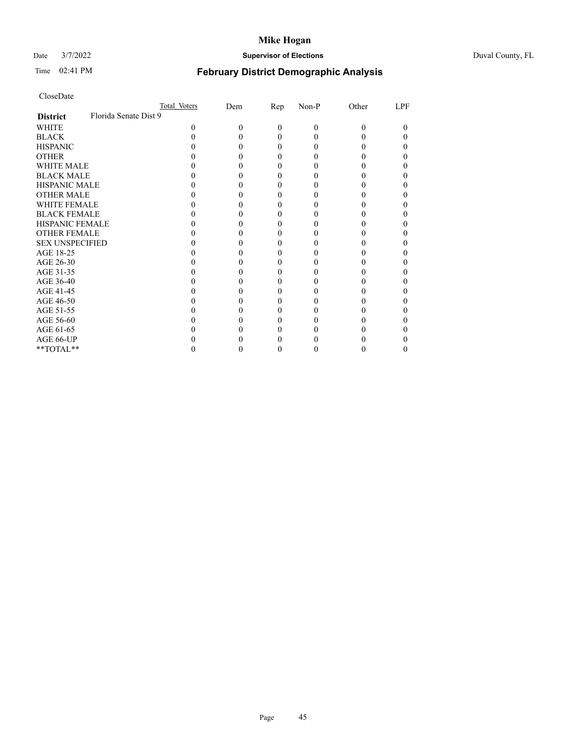# Date 3/7/2022 **Supervisor of Elections** Duval County, FL

# Time 02:41 PM **February District Demographic Analysis**

| CloseDate |  |
|-----------|--|
|-----------|--|

|                        | Total Voters          | Dem | Rep | Non-P | Other | LPF |
|------------------------|-----------------------|-----|-----|-------|-------|-----|
| <b>District</b>        | Florida Senate Dist 9 |     |     |       |       |     |
| WHITE                  | 0                     | 0   | 0   | 0     | 0     |     |
| <b>BLACK</b>           |                       |     | 0   |       |       |     |
| <b>HISPANIC</b>        |                       |     | 0   |       |       |     |
| <b>OTHER</b>           |                       |     |     |       |       |     |
| WHITE MALE             |                       |     |     |       |       |     |
| <b>BLACK MALE</b>      |                       |     |     |       |       |     |
| <b>HISPANIC MALE</b>   |                       |     |     |       |       |     |
| <b>OTHER MALE</b>      |                       |     |     |       |       |     |
| WHITE FEMALE           |                       |     |     |       |       |     |
| <b>BLACK FEMALE</b>    |                       |     | 0   |       |       |     |
| HISPANIC FEMALE        |                       |     |     |       |       |     |
| <b>OTHER FEMALE</b>    |                       |     |     |       |       |     |
| <b>SEX UNSPECIFIED</b> |                       |     |     |       |       |     |
| AGE 18-25              |                       |     |     |       |       |     |
| AGE 26-30              |                       |     |     |       |       |     |
| AGE 31-35              |                       |     |     |       |       |     |
| AGE 36-40              |                       |     | 0   |       |       |     |
| AGE 41-45              |                       |     |     |       |       |     |
| AGE 46-50              |                       |     |     |       |       |     |
| AGE 51-55              |                       |     |     |       |       |     |
| AGE 56-60              |                       |     |     |       |       |     |
| AGE 61-65              |                       |     |     |       |       |     |
| AGE 66-UP              |                       |     |     |       |       |     |
| **TOTAL**              |                       |     |     |       |       |     |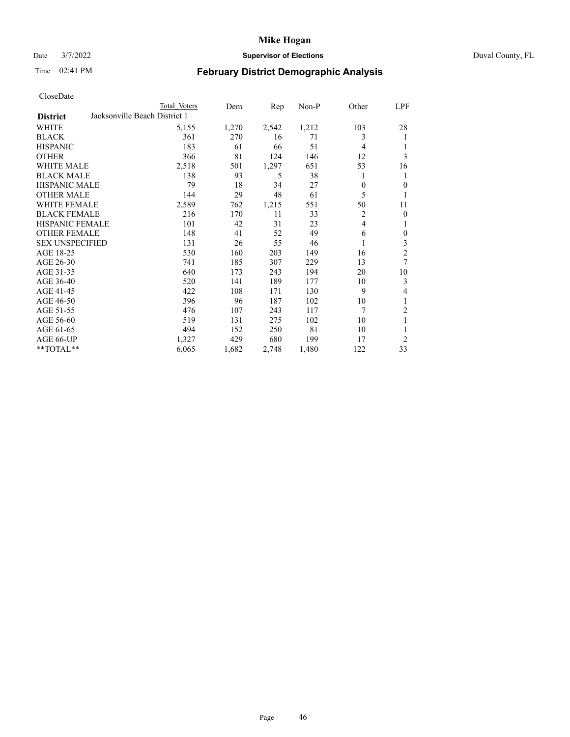# Date 3/7/2022 **Supervisor of Elections** Duval County, FL

# Time 02:41 PM **February District Demographic Analysis**

| CloseDate |  |
|-----------|--|
|-----------|--|

|                        |                               | Total Voters | Dem   | Rep   | $Non-P$ | Other          | <b>LPF</b>       |
|------------------------|-------------------------------|--------------|-------|-------|---------|----------------|------------------|
| <b>District</b>        | Jacksonville Beach District 1 |              |       |       |         |                |                  |
| WHITE                  |                               | 5,155        | 1,270 | 2,542 | 1,212   | 103            | 28               |
| <b>BLACK</b>           |                               | 361          | 270   | 16    | 71      | 3              | 1                |
| <b>HISPANIC</b>        |                               | 183          | 61    | 66    | 51      | 4              | 1                |
| <b>OTHER</b>           |                               | 366          | 81    | 124   | 146     | 12             | 3                |
| <b>WHITE MALE</b>      |                               | 2,518        | 501   | 1,297 | 651     | 53             | 16               |
| <b>BLACK MALE</b>      |                               | 138          | 93    | 5     | 38      | 1              | 1                |
| <b>HISPANIC MALE</b>   |                               | 79           | 18    | 34    | 27      | $\theta$       | $\theta$         |
| <b>OTHER MALE</b>      |                               | 144          | 29    | 48    | 61      | 5              | 1                |
| <b>WHITE FEMALE</b>    |                               | 2,589        | 762   | 1,215 | 551     | 50             | 11               |
| <b>BLACK FEMALE</b>    |                               | 216          | 170   | 11    | 33      | $\overline{c}$ | $\mathbf{0}$     |
| HISPANIC FEMALE        |                               | 101          | 42    | 31    | 23      | $\overline{4}$ | 1                |
| <b>OTHER FEMALE</b>    |                               | 148          | 41    | 52    | 49      | 6              | $\boldsymbol{0}$ |
| <b>SEX UNSPECIFIED</b> |                               | 131          | 26    | 55    | 46      |                | 3                |
| AGE 18-25              |                               | 530          | 160   | 203   | 149     | 16             | $\overline{c}$   |
| AGE 26-30              |                               | 741          | 185   | 307   | 229     | 13             | 7                |
| AGE 31-35              |                               | 640          | 173   | 243   | 194     | 20             | 10               |
| AGE 36-40              |                               | 520          | 141   | 189   | 177     | 10             | 3                |
| AGE 41-45              |                               | 422          | 108   | 171   | 130     | 9              | 4                |
| AGE 46-50              |                               | 396          | 96    | 187   | 102     | 10             | 1                |
| AGE 51-55              |                               | 476          | 107   | 243   | 117     | 7              | 2                |
| AGE 56-60              |                               | 519          | 131   | 275   | 102     | 10             | 1                |
| AGE 61-65              |                               | 494          | 152   | 250   | 81      | 10             | 1                |
| AGE 66-UP              |                               | 1,327        | 429   | 680   | 199     | 17             | $\overline{2}$   |
| **TOTAL**              |                               | 6,065        | 1,682 | 2,748 | 1,480   | 122            | 33               |
|                        |                               |              |       |       |         |                |                  |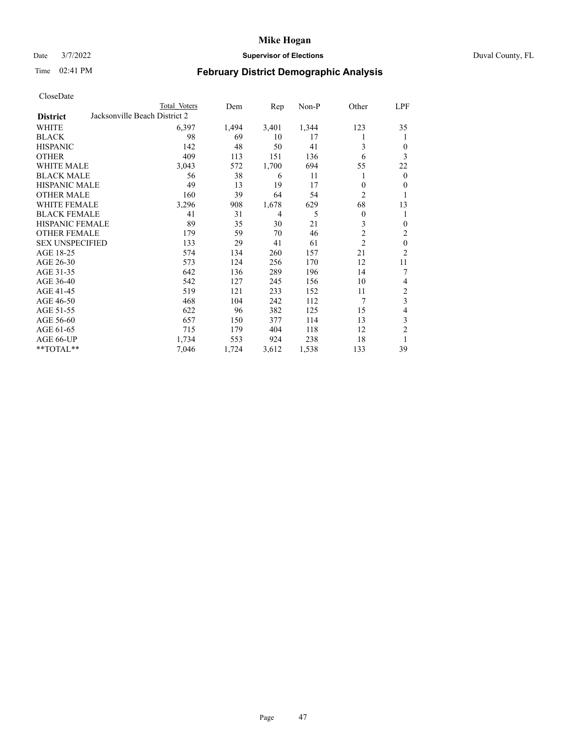# Date 3/7/2022 **Supervisor of Elections** Duval County, FL

# Time 02:41 PM **February District Demographic Analysis**

|                        | Total Voters                  | Dem   | Rep   | Non-P | Other            | LPF            |
|------------------------|-------------------------------|-------|-------|-------|------------------|----------------|
| <b>District</b>        | Jacksonville Beach District 2 |       |       |       |                  |                |
| WHITE                  | 6,397                         | 1,494 | 3,401 | 1,344 | 123              | 35             |
| <b>BLACK</b>           | 98                            | 69    | 10    | 17    | 1                | 1              |
| <b>HISPANIC</b>        | 142                           | 48    | 50    | 41    | 3                | $\theta$       |
| <b>OTHER</b>           | 409                           | 113   | 151   | 136   | 6                | 3              |
| WHITE MALE             | 3,043                         | 572   | 1,700 | 694   | 55               | 22             |
| <b>BLACK MALE</b>      | 56                            | 38    | 6     | 11    | 1                | $\mathbf{0}$   |
| <b>HISPANIC MALE</b>   | 49                            | 13    | 19    | 17    | 0                | $\theta$       |
| <b>OTHER MALE</b>      | 160                           | 39    | 64    | 54    | $\overline{2}$   | 1              |
| WHITE FEMALE           | 3,296                         | 908   | 1,678 | 629   | 68               | 13             |
| <b>BLACK FEMALE</b>    | 41                            | 31    | 4     | 5     | $\boldsymbol{0}$ | 1              |
| <b>HISPANIC FEMALE</b> | 89                            | 35    | 30    | 21    | 3                | $\theta$       |
| <b>OTHER FEMALE</b>    | 179                           | 59    | 70    | 46    | $\overline{c}$   | 2              |
| <b>SEX UNSPECIFIED</b> | 133                           | 29    | 41    | 61    | $\overline{2}$   | $\mathbf{0}$   |
| AGE 18-25              | 574                           | 134   | 260   | 157   | 21               | $\overline{2}$ |
| AGE 26-30              | 573                           | 124   | 256   | 170   | 12               | 11             |
| AGE 31-35              | 642                           | 136   | 289   | 196   | 14               | 7              |
| AGE 36-40              | 542                           | 127   | 245   | 156   | 10               | 4              |
| AGE 41-45              | 519                           | 121   | 233   | 152   | 11               | $\overline{c}$ |
| AGE 46-50              | 468                           | 104   | 242   | 112   | 7                | 3              |
| AGE 51-55              | 622                           | 96    | 382   | 125   | 15               | 4              |
| AGE 56-60              | 657                           | 150   | 377   | 114   | 13               | 3              |
| AGE 61-65              | 715                           | 179   | 404   | 118   | 12               | $\overline{2}$ |
| AGE 66-UP              | 1,734                         | 553   | 924   | 238   | 18               | 1              |
| $**TOTAL**$            | 7,046                         | 1,724 | 3,612 | 1,538 | 133              | 39             |